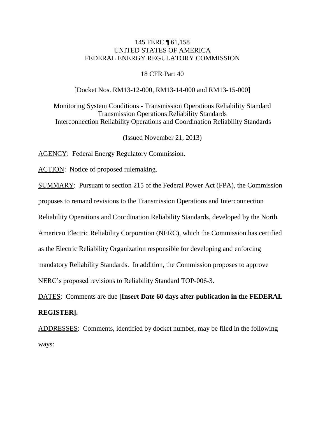## 145 FERC ¶ 61,158 UNITED STATES OF AMERICA FEDERAL ENERGY REGULATORY COMMISSION

#### 18 CFR Part 40

#### [Docket Nos. RM13-12-000, RM13-14-000 and RM13-15-000]

Monitoring System Conditions - Transmission Operations Reliability Standard Transmission Operations Reliability Standards Interconnection Reliability Operations and Coordination Reliability Standards

(Issued November 21, 2013)

AGENCY: Federal Energy Regulatory Commission.

ACTION: Notice of proposed rulemaking.

SUMMARY: Pursuant to section 215 of the Federal Power Act (FPA), the Commission

proposes to remand revisions to the Transmission Operations and Interconnection

Reliability Operations and Coordination Reliability Standards, developed by the North

American Electric Reliability Corporation (NERC), which the Commission has certified

as the Electric Reliability Organization responsible for developing and enforcing

mandatory Reliability Standards. In addition, the Commission proposes to approve

NERC's proposed revisions to Reliability Standard TOP-006-3.

DATES: Comments are due **[Insert Date 60 days after publication in the FEDERAL REGISTER].**

ADDRESSES: Comments, identified by docket number, may be filed in the following ways: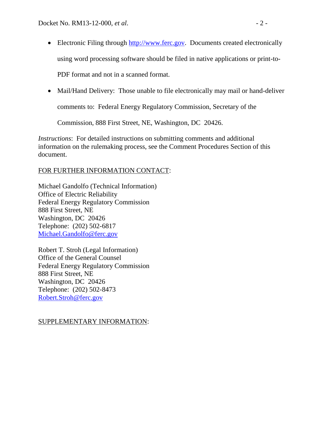• Electronic Filing through [http://www.ferc.gov.](http://www.ferc.gov/) Documents created electronically using word processing software should be filed in native applications or print-to-

PDF format and not in a scanned format.

• Mail/Hand Delivery: Those unable to file electronically may mail or hand-deliver

comments to: Federal Energy Regulatory Commission, Secretary of the

Commission, 888 First Street, NE, Washington, DC 20426.

*Instructions*: For detailed instructions on submitting comments and additional information on the rulemaking process, see the Comment Procedures Section of this document.

# FOR FURTHER INFORMATION CONTACT:

Michael Gandolfo (Technical Information) Office of Electric Reliability Federal Energy Regulatory Commission 888 First Street, NE Washington, DC 20426 Telephone: (202) 502-6817 [Michael.Gandolfo@ferc.gov](mailto:Michael.Gandolfo@ferc.gov)

Robert T. Stroh (Legal Information) Office of the General Counsel Federal Energy Regulatory Commission 888 First Street, NE Washington, DC 20426 Telephone: (202) 502-8473 [Robert.Stroh@ferc.gov](mailto:Robert.Stroh@ferc.gov)

# SUPPLEMENTARY INFORMATION: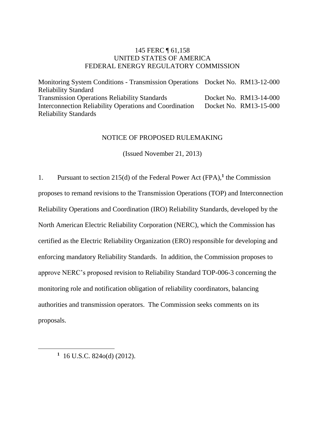## 145 FERC ¶ 61,158 UNITED STATES OF AMERICA FEDERAL ENERGY REGULATORY COMMISSION

Monitoring System Conditions - Transmission Operations Docket No. RM13-12-000 Reliability Standard Transmission Operations Reliability Standards Interconnection Reliability Operations and Coordination Reliability Standards Docket No. RM13-14-000 Docket No. RM13-15-000

#### NOTICE OF PROPOSED RULEMAKING

(Issued November 21, 2013)

1. Pursuant to section 215(d) of the Federal Power Act (FPA),**<sup>1</sup>** the Commission proposes to remand revisions to the Transmission Operations (TOP) and Interconnection Reliability Operations and Coordination (IRO) Reliability Standards, developed by the North American Electric Reliability Corporation (NERC), which the Commission has certified as the Electric Reliability Organization (ERO) responsible for developing and enforcing mandatory Reliability Standards. In addition, the Commission proposes to approve NERC's proposed revision to Reliability Standard TOP-006-3 concerning the monitoring role and notification obligation of reliability coordinators, balancing authorities and transmission operators. The Commission seeks comments on its proposals.

**1** 16 U.S.C. 824o(d) (2012).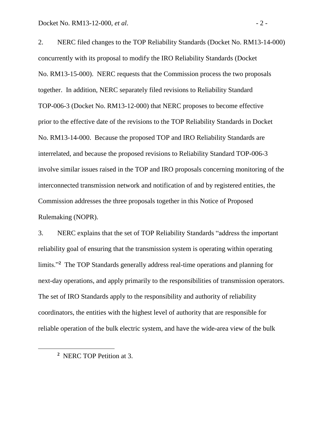2. NERC filed changes to the TOP Reliability Standards (Docket No. RM13-14-000) concurrently with its proposal to modify the IRO Reliability Standards (Docket No. RM13-15-000). NERC requests that the Commission process the two proposals together. In addition, NERC separately filed revisions to Reliability Standard TOP-006-3 (Docket No. RM13-12-000) that NERC proposes to become effective prior to the effective date of the revisions to the TOP Reliability Standards in Docket No. RM13-14-000. Because the proposed TOP and IRO Reliability Standards are interrelated, and because the proposed revisions to Reliability Standard TOP-006-3 involve similar issues raised in the TOP and IRO proposals concerning monitoring of the interconnected transmission network and notification of and by registered entities, the Commission addresses the three proposals together in this Notice of Proposed Rulemaking (NOPR).

3. NERC explains that the set of TOP Reliability Standards "address the important reliability goal of ensuring that the transmission system is operating within operating limits."**<sup>2</sup>** The TOP Standards generally address real-time operations and planning for next-day operations, and apply primarily to the responsibilities of transmission operators. The set of IRO Standards apply to the responsibility and authority of reliability coordinators, the entities with the highest level of authority that are responsible for reliable operation of the bulk electric system, and have the wide-area view of the bulk

**<sup>2</sup>** NERC TOP Petition at 3.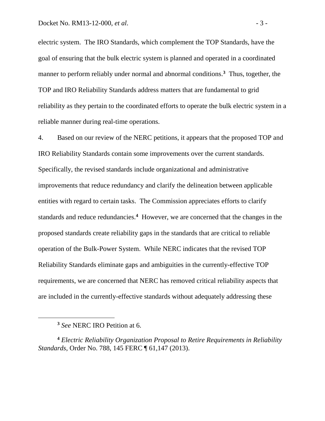electric system. The IRO Standards, which complement the TOP Standards, have the goal of ensuring that the bulk electric system is planned and operated in a coordinated manner to perform reliably under normal and abnormal conditions.**<sup>3</sup>** Thus, together, the TOP and IRO Reliability Standards address matters that are fundamental to grid reliability as they pertain to the coordinated efforts to operate the bulk electric system in a reliable manner during real-time operations.

4. Based on our review of the NERC petitions, it appears that the proposed TOP and IRO Reliability Standards contain some improvements over the current standards. Specifically, the revised standards include organizational and administrative improvements that reduce redundancy and clarify the delineation between applicable entities with regard to certain tasks. The Commission appreciates efforts to clarify standards and reduce redundancies.**<sup>4</sup>** However, we are concerned that the changes in the proposed standards create reliability gaps in the standards that are critical to reliable operation of the Bulk-Power System. While NERC indicates that the revised TOP Reliability Standards eliminate gaps and ambiguities in the currently-effective TOP requirements, we are concerned that NERC has removed critical reliability aspects that are included in the currently-effective standards without adequately addressing these

 $\overline{a}$ 

**<sup>3</sup>** *See* NERC IRO Petition at 6.

**<sup>4</sup>** *Electric Reliability Organization Proposal to Retire Requirements in Reliability Standards*, Order No. 788, 145 FERC ¶ 61,147 (2013).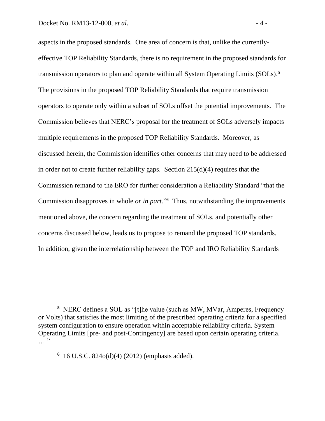aspects in the proposed standards. One area of concern is that, unlike the currentlyeffective TOP Reliability Standards, there is no requirement in the proposed standards for transmission operators to plan and operate within all System Operating Limits (SOLs). **5** The provisions in the proposed TOP Reliability Standards that require transmission operators to operate only within a subset of SOLs offset the potential improvements. The Commission believes that NERC's proposal for the treatment of SOLs adversely impacts multiple requirements in the proposed TOP Reliability Standards. Moreover, as discussed herein, the Commission identifies other concerns that may need to be addressed in order not to create further reliability gaps. Section 215(d)(4) requires that the Commission remand to the ERO for further consideration a Reliability Standard "that the Commission disapproves in whole *or in part*."**<sup>6</sup>** Thus, notwithstanding the improvements mentioned above, the concern regarding the treatment of SOLs, and potentially other concerns discussed below, leads us to propose to remand the proposed TOP standards. In addition, given the interrelationship between the TOP and IRO Reliability Standards

**<sup>6</sup>** 16 U.S.C. 824o(d)(4) (2012) (emphasis added).

<sup>&</sup>lt;sup>5</sup> NERC defines a SOL as "[t]he value (such as MW, MVar, Amperes, Frequency or Volts) that satisfies the most limiting of the prescribed operating criteria for a specified system configuration to ensure operation within acceptable reliability criteria. System Operating Limits [pre- and post-Contingency] are based upon certain operating criteria.  $\frac{1}{\sqrt{2}}$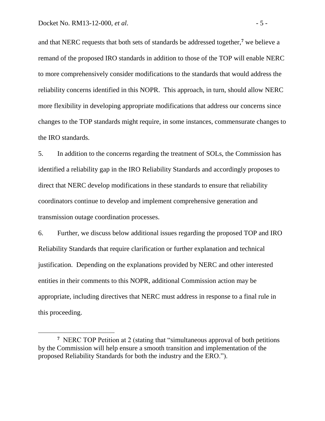$\overline{a}$ 

and that NERC requests that both sets of standards be addressed together,**<sup>7</sup>** we believe a remand of the proposed IRO standards in addition to those of the TOP will enable NERC to more comprehensively consider modifications to the standards that would address the reliability concerns identified in this NOPR. This approach, in turn, should allow NERC more flexibility in developing appropriate modifications that address our concerns since changes to the TOP standards might require, in some instances, commensurate changes to the IRO standards.

5. In addition to the concerns regarding the treatment of SOLs, the Commission has identified a reliability gap in the IRO Reliability Standards and accordingly proposes to direct that NERC develop modifications in these standards to ensure that reliability coordinators continue to develop and implement comprehensive generation and transmission outage coordination processes.

6. Further, we discuss below additional issues regarding the proposed TOP and IRO Reliability Standards that require clarification or further explanation and technical justification. Depending on the explanations provided by NERC and other interested entities in their comments to this NOPR, additional Commission action may be appropriate, including directives that NERC must address in response to a final rule in this proceeding.

<sup>&</sup>lt;sup>7</sup> NERC TOP Petition at 2 (stating that "simultaneous approval of both petitions by the Commission will help ensure a smooth transition and implementation of the proposed Reliability Standards for both the industry and the ERO.").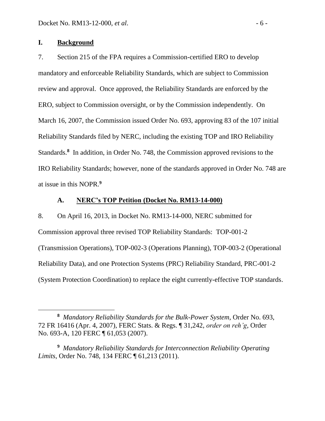## **I. Background**

7. Section 215 of the FPA requires a Commission-certified ERO to develop mandatory and enforceable Reliability Standards, which are subject to Commission review and approval. Once approved, the Reliability Standards are enforced by the ERO, subject to Commission oversight, or by the Commission independently. On March 16, 2007, the Commission issued Order No. 693, approving 83 of the 107 initial Reliability Standards filed by NERC, including the existing TOP and IRO Reliability Standards.<sup>8</sup> In addition, in Order No. 748, the Commission approved revisions to the IRO Reliability Standards; however, none of the standards approved in Order No. 748 are at issue in this NOPR. **9**

## **A. NERC's TOP Petition (Docket No. RM13-14-000)**

8. On April 16, 2013, in Docket No. RM13-14-000, NERC submitted for Commission approval three revised TOP Reliability Standards: TOP-001-2 (Transmission Operations), TOP-002-3 (Operations Planning), TOP-003-2 (Operational Reliability Data), and one Protection Systems (PRC) Reliability Standard, PRC-001-2 (System Protection Coordination) to replace the eight currently-effective TOP standards.

**<sup>8</sup>** *Mandatory Reliability Standards for the Bulk-Power System*, Order No. 693, 72 FR 16416 (Apr. 4, 2007), FERC Stats. & Regs. ¶ 31,242, *order on reh'g*, Order No. 693-A, 120 FERC ¶ 61,053 (2007).

**<sup>9</sup>** *Mandatory Reliability Standards for Interconnection Reliability Operating Limits*, Order No. 748, 134 FERC ¶ 61,213 (2011).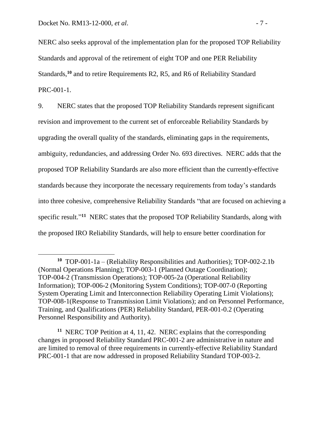NERC also seeks approval of the implementation plan for the proposed TOP Reliability Standards and approval of the retirement of eight TOP and one PER Reliability Standards,<sup>10</sup> and to retire Requirements R2, R5, and R6 of Reliability Standard PRC-001-1.

9. NERC states that the proposed TOP Reliability Standards represent significant revision and improvement to the current set of enforceable Reliability Standards by upgrading the overall quality of the standards, eliminating gaps in the requirements, ambiguity, redundancies, and addressing Order No. 693 directives. NERC adds that the proposed TOP Reliability Standards are also more efficient than the currently-effective standards because they incorporate the necessary requirements from today's standards into three cohesive, comprehensive Reliability Standards "that are focused on achieving a specific result."<sup>11</sup> NERC states that the proposed TOP Reliability Standards, along with the proposed IRO Reliability Standards, will help to ensure better coordination for

**<sup>10</sup>** TOP-001-1a – (Reliability Responsibilities and Authorities); TOP-002-2.1b (Normal Operations Planning); TOP-003-1 (Planned Outage Coordination); TOP-004-2 (Transmission Operations); TOP-005-2a (Operational Reliability Information); TOP-006-2 (Monitoring System Conditions); TOP-007-0 (Reporting System Operating Limit and Interconnection Reliability Operating Limit Violations); TOP-008-1(Response to Transmission Limit Violations); and on Personnel Performance, Training, and Qualifications (PER) Reliability Standard, PER-001-0.2 (Operating Personnel Responsibility and Authority).

**<sup>11</sup>** NERC TOP Petition at 4, 11, 42. NERC explains that the corresponding changes in proposed Reliability Standard PRC-001-2 are administrative in nature and are limited to removal of three requirements in currently-effective Reliability Standard PRC-001-1 that are now addressed in proposed Reliability Standard TOP-003-2.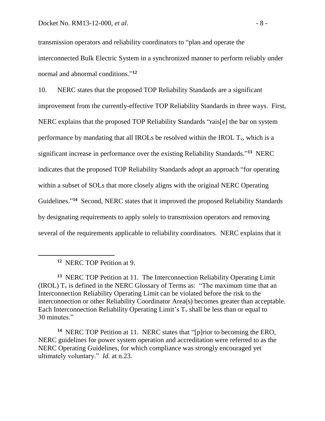transmission operators and reliability coordinators to "plan and operate the interconnected Bulk Electric System in a synchronized manner to perform reliably under normal and abnormal conditions." **12**

10. NERC states that the proposed TOP Reliability Standards are a significant improvement from the currently-effective TOP Reliability Standards in three ways. First, NERC explains that the proposed TOP Reliability Standards "rais[e] the bar on system performance by mandating that all IROLs be resolved within the IROL  $T_v$ , which is a significant increase in performance over the existing Reliability Standards." **13** NERC indicates that the proposed TOP Reliability Standards adopt an approach "for operating within a subset of SOLs that more closely aligns with the original NERC Operating Guidelines."<sup>14</sup> Second, NERC states that it improved the proposed Reliability Standards by designating requirements to apply solely to transmission operators and removing several of the requirements applicable to reliability coordinators. NERC explains that it

**<sup>12</sup>** NERC TOP Petition at 9.

<sup>&</sup>lt;sup>13</sup> NERC TOP Petition at 11. The Interconnection Reliability Operating Limit (IROL)  $T_v$  is defined in the NERC Glossary of Terms as: "The maximum time that an Interconnection Reliability Operating Limit can be violated before the risk to the interconnection or other Reliability Coordinator Area(s) becomes greater than acceptable. Each Interconnection Reliability Operating Limit's  $T_v$  shall be less than or equal to 30 minutes."

<sup>&</sup>lt;sup>14</sup> NERC TOP Petition at 11. NERC states that "[p]rior to becoming the ERO, NERC guidelines for power system operation and accreditation were referred to as the NERC Operating Guidelines, for which compliance was strongly encouraged yet ultimately voluntary." *Id.* at n.23.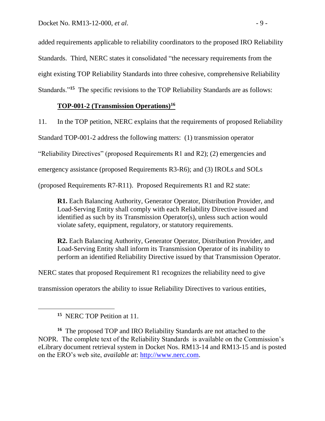added requirements applicable to reliability coordinators to the proposed IRO Reliability Standards. Third, NERC states it consolidated "the necessary requirements from the eight existing TOP Reliability Standards into three cohesive, comprehensive Reliability Standards."**<sup>15</sup>** The specific revisions to the TOP Reliability Standards are as follows:

# **TOP-001-2 (Transmission Operations)<sup>16</sup>**

11. In the TOP petition, NERC explains that the requirements of proposed Reliability

Standard TOP-001-2 address the following matters: (1) transmission operator

"Reliability Directives" (proposed Requirements R1 and R2); (2) emergencies and

emergency assistance (proposed Requirements R3-R6); and (3) IROLs and SOLs

(proposed Requirements R7-R11). Proposed Requirements R1 and R2 state:

**R1.** Each Balancing Authority, Generator Operator, Distribution Provider, and Load-Serving Entity shall comply with each Reliability Directive issued and identified as such by its Transmission Operator(s), unless such action would violate safety, equipment, regulatory, or statutory requirements.

**R2.** Each Balancing Authority, Generator Operator, Distribution Provider, and Load-Serving Entity shall inform its Transmission Operator of its inability to perform an identified Reliability Directive issued by that Transmission Operator.

NERC states that proposed Requirement R1 recognizes the reliability need to give

transmission operators the ability to issue Reliability Directives to various entities,

<sup>16</sup> The proposed TOP and IRO Reliability Standards are not attached to the NOPR. The complete text of the Reliability Standards is available on the Commission's eLibrary document retrieval system in Docket Nos. RM13-14 and RM13-15 and is posted on the ERO's web site, *available at*: [http://www.nerc.com.](http://www.nerc.com/)

**<sup>15</sup>** NERC TOP Petition at 11.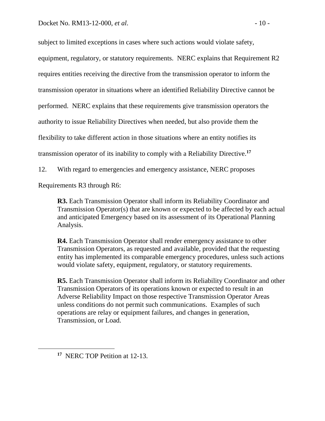subject to limited exceptions in cases where such actions would violate safety, equipment, regulatory, or statutory requirements. NERC explains that Requirement R2 requires entities receiving the directive from the transmission operator to inform the transmission operator in situations where an identified Reliability Directive cannot be performed. NERC explains that these requirements give transmission operators the authority to issue Reliability Directives when needed, but also provide them the flexibility to take different action in those situations where an entity notifies its transmission operator of its inability to comply with a Reliability Directive.**<sup>17</sup>**

12. With regard to emergencies and emergency assistance, NERC proposes

Requirements R3 through R6:

**R3.** Each Transmission Operator shall inform its Reliability Coordinator and Transmission Operator(s) that are known or expected to be affected by each actual and anticipated Emergency based on its assessment of its Operational Planning Analysis.

**R4.** Each Transmission Operator shall render emergency assistance to other Transmission Operators, as requested and available, provided that the requesting entity has implemented its comparable emergency procedures, unless such actions would violate safety, equipment, regulatory, or statutory requirements.

**R5.** Each Transmission Operator shall inform its Reliability Coordinator and other Transmission Operators of its operations known or expected to result in an Adverse Reliability Impact on those respective Transmission Operator Areas unless conditions do not permit such communications. Examples of such operations are relay or equipment failures, and changes in generation, Transmission, or Load.

**<sup>17</sup>** NERC TOP Petition at 12-13.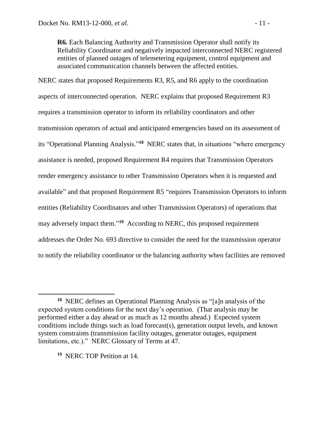**R6.** Each Balancing Authority and Transmission Operator shall notify its Reliability Coordinator and negatively impacted interconnected NERC registered entities of planned outages of telemetering equipment, control equipment and associated communication channels between the affected entities.

NERC states that proposed Requirements R3, R5, and R6 apply to the coordination aspects of interconnected operation. NERC explains that proposed Requirement R3 requires a transmission operator to inform its reliability coordinators and other transmission operators of actual and anticipated emergencies based on its assessment of its "Operational Planning Analysis." **<sup>18</sup>** NERC states that, in situations "where emergency assistance is needed, proposed Requirement R4 requires that Transmission Operators render emergency assistance to other Transmission Operators when it is requested and available" and that proposed Requirement R5 "requires Transmission Operators to inform entities (Reliability Coordinators and other Transmission Operators) of operations that may adversely impact them." **19** According to NERC, this proposed requirement addresses the Order No. 693 directive to consider the need for the transmission operator to notify the reliability coordinator or the balancing authority when facilities are removed

**19** NERC TOP Petition at 14.

 $\overline{a}$ 

**<sup>18</sup>** NERC defines an Operational Planning Analysis as "[a]n analysis of the expected system conditions for the next day's operation. (That analysis may be performed either a day ahead or as much as 12 months ahead.) Expected system conditions include things such as load forecast(s), generation output levels, and known system constraints (transmission facility outages, generator outages, equipment limitations, etc.)." NERC Glossary of Terms at 47.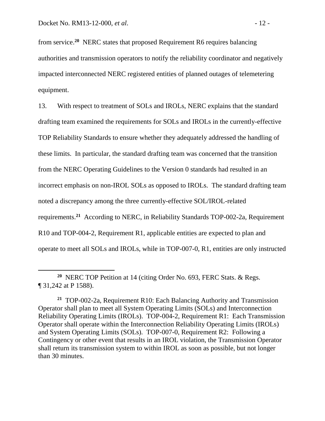$\overline{a}$ 

from service.**<sup>20</sup>** NERC states that proposed Requirement R6 requires balancing authorities and transmission operators to notify the reliability coordinator and negatively impacted interconnected NERC registered entities of planned outages of telemetering equipment.

13. With respect to treatment of SOLs and IROLs, NERC explains that the standard drafting team examined the requirements for SOLs and IROLs in the currently-effective TOP Reliability Standards to ensure whether they adequately addressed the handling of these limits. In particular, the standard drafting team was concerned that the transition from the NERC Operating Guidelines to the Version 0 standards had resulted in an incorrect emphasis on non-IROL SOLs as opposed to IROLs. The standard drafting team noted a discrepancy among the three currently-effective SOL/IROL-related requirements.**<sup>21</sup>** According to NERC, in Reliability Standards TOP-002-2a, Requirement R10 and TOP-004-2, Requirement R1, applicable entities are expected to plan and operate to meet all SOLs and IROLs, while in TOP-007-0, R1, entities are only instructed

**<sup>20</sup>** NERC TOP Petition at 14 (citing Order No. 693, FERC Stats. & Regs. ¶ 31,242 at P 1588).

**<sup>21</sup>** TOP-002-2a, Requirement R10: Each Balancing Authority and Transmission Operator shall plan to meet all System Operating Limits (SOLs) and Interconnection Reliability Operating Limits (IROLs). TOP-004-2, Requirement R1: Each Transmission Operator shall operate within the Interconnection Reliability Operating Limits (IROLs) and System Operating Limits (SOLs). TOP-007-0, Requirement R2: Following a Contingency or other event that results in an IROL violation, the Transmission Operator shall return its transmission system to within IROL as soon as possible, but not longer than 30 minutes.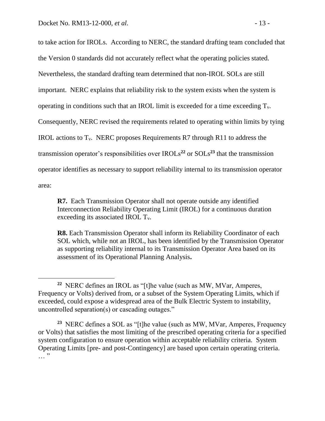$\overline{a}$ 

to take action for IROLs. According to NERC, the standard drafting team concluded that the Version 0 standards did not accurately reflect what the operating policies stated. Nevertheless, the standard drafting team determined that non-IROL SOLs are still important. NERC explains that reliability risk to the system exists when the system is operating in conditions such that an IROL limit is exceeded for a time exceeding  $T_{v}$ . Consequently, NERC revised the requirements related to operating within limits by tying IROL actions to  $T_v$ . NERC proposes Requirements R7 through R11 to address the transmission operator's responsibilities over  $IROLs<sup>22</sup>$  or  $SOLs<sup>23</sup>$  that the transmission operator identifies as necessary to support reliability internal to its transmission operator area:

**R7.** Each Transmission Operator shall not operate outside any identified Interconnection Reliability Operating Limit (IROL) for a continuous duration exceeding its associated IROL Tv.

**R8.** Each Transmission Operator shall inform its Reliability Coordinator of each SOL which, while not an IROL, has been identified by the Transmission Operator as supporting reliability internal to its Transmission Operator Area based on its assessment of its Operational Planning Analysis**.** 

<sup>&</sup>lt;sup>22</sup> NERC defines an IROL as "[t]he value (such as MW, MVar, Amperes, Frequency or Volts) derived from, or a subset of the System Operating Limits, which if exceeded, could expose a widespread area of the Bulk Electric System to instability, uncontrolled separation(s) or cascading outages."

**<sup>23</sup>** NERC defines a SOL as "[t]he value (such as MW, MVar, Amperes, Frequency or Volts) that satisfies the most limiting of the prescribed operating criteria for a specified system configuration to ensure operation within acceptable reliability criteria. System Operating Limits [pre- and post-Contingency] are based upon certain operating criteria.  $\cdots$   $\cdots$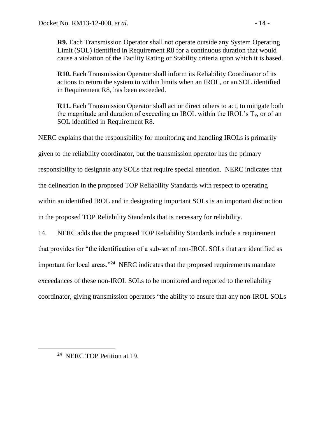**R9.** Each Transmission Operator shall not operate outside any System Operating Limit (SOL) identified in Requirement R8 for a continuous duration that would cause a violation of the Facility Rating or Stability criteria upon which it is based.

**R10.** Each Transmission Operator shall inform its Reliability Coordinator of its actions to return the system to within limits when an IROL, or an SOL identified in Requirement R8, has been exceeded.

**R11.** Each Transmission Operator shall act or direct others to act, to mitigate both the magnitude and duration of exceeding an IROL within the IROL's  $T_v$ , or of an SOL identified in Requirement R8.

NERC explains that the responsibility for monitoring and handling IROLs is primarily given to the reliability coordinator, but the transmission operator has the primary responsibility to designate any SOLs that require special attention. NERC indicates that the delineation in the proposed TOP Reliability Standards with respect to operating within an identified IROL and in designating important SOLs is an important distinction in the proposed TOP Reliability Standards that is necessary for reliability.

14. NERC adds that the proposed TOP Reliability Standards include a requirement that provides for "the identification of a sub-set of non-IROL SOLs that are identified as important for local areas."**<sup>24</sup>** NERC indicates that the proposed requirements mandate exceedances of these non-IROL SOLs to be monitored and reported to the reliability coordinator, giving transmission operators "the ability to ensure that any non-IROL SOLs

**<sup>24</sup>** NERC TOP Petition at 19.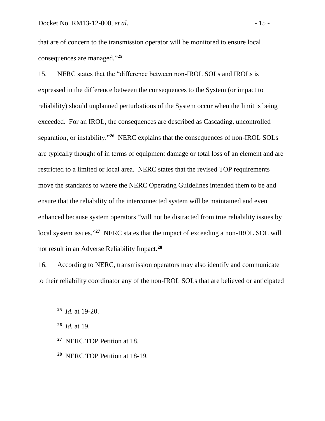that are of concern to the transmission operator will be monitored to ensure local consequences are managed." **25**

15. NERC states that the "difference between non-IROL SOLs and IROLs is expressed in the difference between the consequences to the System (or impact to reliability) should unplanned perturbations of the System occur when the limit is being exceeded. For an IROL, the consequences are described as Cascading, uncontrolled separation, or instability.<sup>"26</sup> NERC explains that the consequences of non-IROL SOLs are typically thought of in terms of equipment damage or total loss of an element and are restricted to a limited or local area. NERC states that the revised TOP requirements move the standards to where the NERC Operating Guidelines intended them to be and ensure that the reliability of the interconnected system will be maintained and even enhanced because system operators "will not be distracted from true reliability issues by local system issues."<sup>27</sup> NERC states that the impact of exceeding a non-IROL SOL will not result in an Adverse Reliability Impact.**<sup>28</sup>**

16. According to NERC, transmission operators may also identify and communicate to their reliability coordinator any of the non-IROL SOLs that are believed or anticipated

**26** *Id.* at 19.

 $\overline{a}$ 

- **27** NERC TOP Petition at 18.
- **28** NERC TOP Petition at 18-19.

**<sup>25</sup>** *Id.* at 19-20.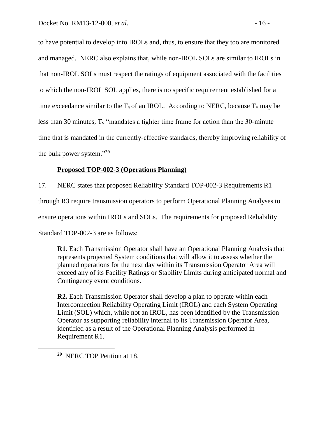to have potential to develop into IROLs and, thus, to ensure that they too are monitored and managed. NERC also explains that, while non-IROL SOLs are similar to IROLs in that non-IROL SOLs must respect the ratings of equipment associated with the facilities to which the non-IROL SOL applies, there is no specific requirement established for a time exceedance similar to the  $T_v$  of an IROL. According to NERC, because  $T_v$  may be less than 30 minutes,  $T_v$  "mandates a tighter time frame for action than the 30-minute time that is mandated in the currently-effective standards, thereby improving reliability of the bulk power system." **29**

#### **Proposed TOP-002-3 (Operations Planning)**

17. NERC states that proposed Reliability Standard TOP-002-3 Requirements R1

through R3 require transmission operators to perform Operational Planning Analyses to

ensure operations within IROLs and SOLs. The requirements for proposed Reliability

Standard TOP-002-3 are as follows:

**R1.** Each Transmission Operator shall have an Operational Planning Analysis that represents projected System conditions that will allow it to assess whether the planned operations for the next day within its Transmission Operator Area will exceed any of its Facility Ratings or Stability Limits during anticipated normal and Contingency event conditions.

**R2.** Each Transmission Operator shall develop a plan to operate within each Interconnection Reliability Operating Limit (IROL) and each System Operating Limit (SOL) which, while not an IROL, has been identified by the Transmission Operator as supporting reliability internal to its Transmission Operator Area, identified as a result of the Operational Planning Analysis performed in Requirement R1.

**29** NERC TOP Petition at 18.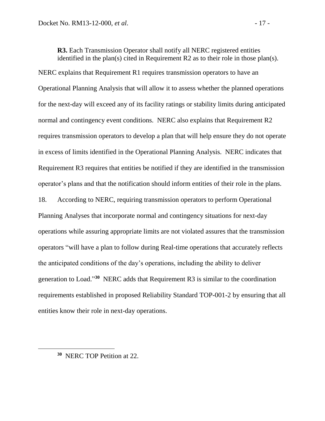**R3.** Each Transmission Operator shall notify all NERC registered entities identified in the plan(s) cited in Requirement R2 as to their role in those plan(s). NERC explains that Requirement R1 requires transmission operators to have an Operational Planning Analysis that will allow it to assess whether the planned operations for the next-day will exceed any of its facility ratings or stability limits during anticipated normal and contingency event conditions. NERC also explains that Requirement R2 requires transmission operators to develop a plan that will help ensure they do not operate in excess of limits identified in the Operational Planning Analysis. NERC indicates that Requirement R3 requires that entities be notified if they are identified in the transmission operator's plans and that the notification should inform entities of their role in the plans.

18. According to NERC, requiring transmission operators to perform Operational Planning Analyses that incorporate normal and contingency situations for next-day operations while assuring appropriate limits are not violated assures that the transmission operators "will have a plan to follow during Real-time operations that accurately reflects the anticipated conditions of the day's operations, including the ability to deliver generation to Load."<sup>30</sup> NERC adds that Requirement R3 is similar to the coordination requirements established in proposed Reliability Standard TOP-001-2 by ensuring that all entities know their role in next-day operations.

**<sup>30</sup>** NERC TOP Petition at 22.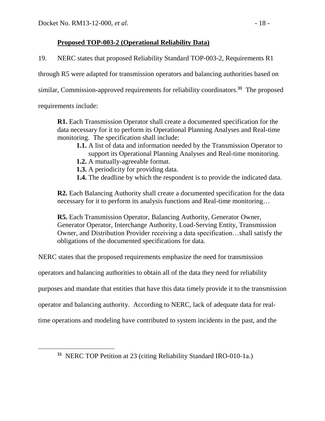# **Proposed TOP-003-2 (Operational Reliability Data)**

19. NERC states that proposed Reliability Standard TOP-003-2, Requirements R1

through R5 were adapted for transmission operators and balancing authorities based on

similar, Commission-approved requirements for reliability coordinators.**<sup>31</sup>** The proposed

requirements include:

**R1.** Each Transmission Operator shall create a documented specification for the data necessary for it to perform its Operational Planning Analyses and Real-time monitoring. The specification shall include:

- **1.1.** A list of data and information needed by the Transmission Operator to support its Operational Planning Analyses and Real-time monitoring.
- **1.2.** A mutually-agreeable format.
- **1.3.** A periodicity for providing data.
- **1.4.** The deadline by which the respondent is to provide the indicated data.

**R2.** Each Balancing Authority shall create a documented specification for the data necessary for it to perform its analysis functions and Real-time monitoring…

**R5.** Each Transmission Operator, Balancing Authority, Generator Owner, Generator Operator, Interchange Authority, Load-Serving Entity, Transmission Owner, and Distribution Provider receiving a data specification…shall satisfy the obligations of the documented specifications for data.

NERC states that the proposed requirements emphasize the need for transmission

operators and balancing authorities to obtain all of the data they need for reliability

purposes and mandate that entities that have this data timely provide it to the transmission

operator and balancing authority. According to NERC, lack of adequate data for real-

time operations and modeling have contributed to system incidents in the past, and the

**<sup>31</sup>** NERC TOP Petition at 23 (citing Reliability Standard IRO-010-1a.)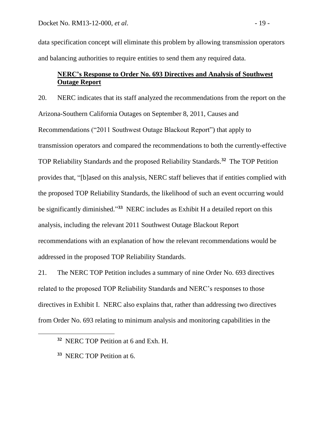data specification concept will eliminate this problem by allowing transmission operators and balancing authorities to require entities to send them any required data.

# **NERC's Response to Order No. 693 Directives and Analysis of Southwest Outage Report**

20. NERC indicates that its staff analyzed the recommendations from the report on the Arizona-Southern California Outages on September 8, 2011, Causes and Recommendations ("2011 Southwest Outage Blackout Report") that apply to transmission operators and compared the recommendations to both the currently-effective TOP Reliability Standards and the proposed Reliability Standards.**<sup>32</sup>** The TOP Petition provides that, "[b]ased on this analysis, NERC staff believes that if entities complied with the proposed TOP Reliability Standards, the likelihood of such an event occurring would be significantly diminished." **33** NERC includes as Exhibit H a detailed report on this analysis, including the relevant 2011 Southwest Outage Blackout Report recommendations with an explanation of how the relevant recommendations would be addressed in the proposed TOP Reliability Standards.

21. The NERC TOP Petition includes a summary of nine Order No. 693 directives related to the proposed TOP Reliability Standards and NERC's responses to those directives in Exhibit I. NERC also explains that, rather than addressing two directives from Order No. 693 relating to minimum analysis and monitoring capabilities in the

 $\overline{a}$ 

**<sup>32</sup>** NERC TOP Petition at 6 and Exh. H.

**<sup>33</sup>** NERC TOP Petition at 6.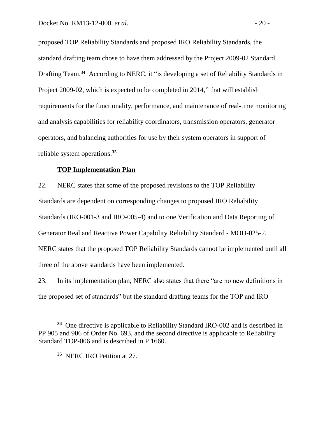proposed TOP Reliability Standards and proposed IRO Reliability Standards, the standard drafting team chose to have them addressed by the Project 2009-02 Standard Drafting Team.<sup>34</sup> According to NERC, it "is developing a set of Reliability Standards in Project 2009-02, which is expected to be completed in 2014," that will establish requirements for the functionality, performance, and maintenance of real-time monitoring and analysis capabilities for reliability coordinators, transmission operators, generator operators, and balancing authorities for use by their system operators in support of reliable system operations.**<sup>35</sup>**

#### **TOP Implementation Plan**

22. NERC states that some of the proposed revisions to the TOP Reliability Standards are dependent on corresponding changes to proposed IRO Reliability Standards (IRO-001-3 and IRO-005-4) and to one Verification and Data Reporting of Generator Real and Reactive Power Capability Reliability Standard - MOD-025-2. NERC states that the proposed TOP Reliability Standards cannot be implemented until all three of the above standards have been implemented.

23. In its implementation plan, NERC also states that there "are no new definitions in the proposed set of standards" but the standard drafting teams for the TOP and IRO

 $\overline{a}$ 

**<sup>34</sup>** One directive is applicable to Reliability Standard IRO-002 and is described in PP 905 and 906 of Order No. 693, and the second directive is applicable to Reliability Standard TOP-006 and is described in P 1660.

**<sup>35</sup>** NERC IRO Petition at 27.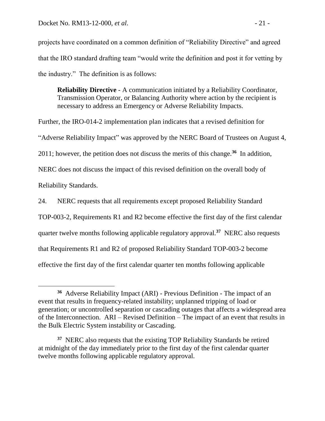$\overline{a}$ 

projects have coordinated on a common definition of "Reliability Directive" and agreed that the IRO standard drafting team "would write the definition and post it for vetting by the industry." The definition is as follows:

**Reliability Directive** - A communication initiated by a Reliability Coordinator, Transmission Operator, or Balancing Authority where action by the recipient is necessary to address an Emergency or Adverse Reliability Impacts.

Further, the IRO-014-2 implementation plan indicates that a revised definition for "Adverse Reliability Impact" was approved by the NERC Board of Trustees on August 4, 2011; however, the petition does not discuss the merits of this change.**<sup>36</sup>** In addition, NERC does not discuss the impact of this revised definition on the overall body of Reliability Standards.

24. NERC requests that all requirements except proposed Reliability Standard

TOP-003-2, Requirements R1 and R2 become effective the first day of the first calendar

quarter twelve months following applicable regulatory approval.**<sup>37</sup>** NERC also requests

that Requirements R1 and R2 of proposed Reliability Standard TOP-003-2 become

effective the first day of the first calendar quarter ten months following applicable

**<sup>36</sup>** Adverse Reliability Impact (ARI) - Previous Definition - The impact of an event that results in frequency-related instability; unplanned tripping of load or generation; or uncontrolled separation or cascading outages that affects a widespread area of the Interconnection. ARI – Revised Definition – The impact of an event that results in the Bulk Electric System instability or Cascading.

<sup>&</sup>lt;sup>37</sup> NERC also requests that the existing TOP Reliability Standards be retired at midnight of the day immediately prior to the first day of the first calendar quarter twelve months following applicable regulatory approval.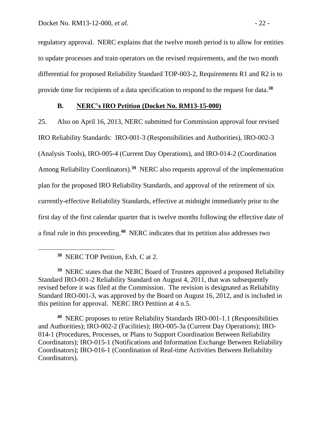regulatory approval. NERC explains that the twelve month period is to allow for entities to update processes and train operators on the revised requirements, and the two month differential for proposed Reliability Standard TOP-003-2, Requirements R1 and R2 is to provide time for recipients of a data specification to respond to the request for data.**<sup>38</sup>**

### **B. NERC's IRO Petition (Docket No. RM13-15-000)**

25. Also on April 16, 2013, NERC submitted for Commission approval four revised IRO Reliability Standards: IRO-001-3 (Responsibilities and Authorities), IRO-002-3 (Analysis Tools), IRO-005-4 (Current Day Operations), and IRO-014-2 (Coordination Among Reliability Coordinators).<sup>39</sup> NERC also requests approval of the implementation plan for the proposed IRO Reliability Standards, and approval of the retirement of six currently-effective Reliability Standards, effective at midnight immediately prior to the first day of the first calendar quarter that is twelve months following the effective date of a final rule in this proceeding.**<sup>40</sup>** NERC indicates that its petition also addresses two

 $\overline{a}$ 

<sup>39</sup> NERC states that the NERC Board of Trustees approved a proposed Reliability Standard IRO-001-2 Reliability Standard on August 4, 2011, that was subsequently revised before it was filed at the Commission. The revision is designated as Reliability Standard IRO-001-3, was approved by the Board on August 16, 2012, and is included in this petition for approval. NERC IRO Petition at 4 n.5.

**40** NERC proposes to retire Reliability Standards IRO-001-1.1 (Responsibilities and Authorities); IRO-002-2 (Facilities); IRO-005-3a (Current Day Operations); IRO-014-1 (Procedures, Processes, or Plans to Support Coordination Between Reliability Coordinators); IRO-015-1 (Notifications and Information Exchange Between Reliability Coordinators); IRO-016-1 (Coordination of Real-time Activities Between Reliability Coordinators).

**<sup>38</sup>** NERC TOP Petition, Exh. C at 2.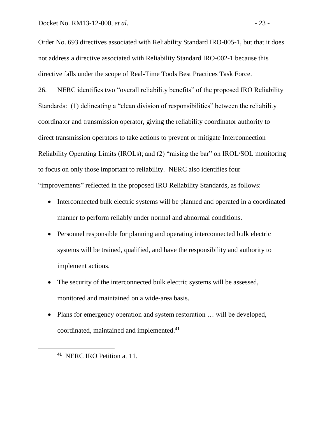Order No. 693 directives associated with Reliability Standard IRO-005-1, but that it does not address a directive associated with Reliability Standard IRO-002-1 because this directive falls under the scope of Real-Time Tools Best Practices Task Force.

26. NERC identifies two "overall reliability benefits" of the proposed IRO Reliability Standards: (1) delineating a "clean division of responsibilities" between the reliability coordinator and transmission operator, giving the reliability coordinator authority to direct transmission operators to take actions to prevent or mitigate Interconnection Reliability Operating Limits (IROLs); and (2) "raising the bar" on IROL/SOL monitoring to focus on only those important to reliability. NERC also identifies four "improvements" reflected in the proposed IRO Reliability Standards, as follows:

- Interconnected bulk electric systems will be planned and operated in a coordinated manner to perform reliably under normal and abnormal conditions.
- Personnel responsible for planning and operating interconnected bulk electric systems will be trained, qualified, and have the responsibility and authority to implement actions.
- The security of the interconnected bulk electric systems will be assessed, monitored and maintained on a wide-area basis.
- Plans for emergency operation and system restoration ... will be developed, coordinated, maintained and implemented.**<sup>41</sup>**

**<sup>41</sup>** NERC IRO Petition at 11.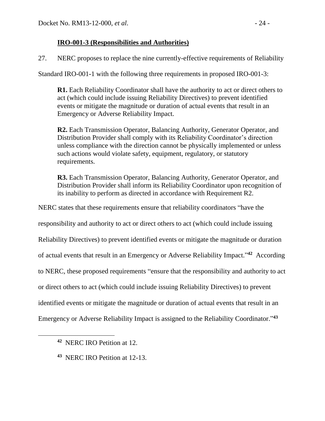# **IRO-001-3 (Responsibilities and Authorities)**

27. NERC proposes to replace the nine currently-effective requirements of Reliability

Standard IRO-001-1 with the following three requirements in proposed IRO-001-3:

**R1.** Each Reliability Coordinator shall have the authority to act or direct others to act (which could include issuing Reliability Directives) to prevent identified events or mitigate the magnitude or duration of actual events that result in an Emergency or Adverse Reliability Impact.

**R2.** Each Transmission Operator, Balancing Authority, Generator Operator, and Distribution Provider shall comply with its Reliability Coordinator's direction unless compliance with the direction cannot be physically implemented or unless such actions would violate safety, equipment, regulatory, or statutory requirements.

**R3.** Each Transmission Operator, Balancing Authority, Generator Operator, and Distribution Provider shall inform its Reliability Coordinator upon recognition of its inability to perform as directed in accordance with Requirement R2.

NERC states that these requirements ensure that reliability coordinators "have the

responsibility and authority to act or direct others to act (which could include issuing

Reliability Directives) to prevent identified events or mitigate the magnitude or duration

of actual events that result in an Emergency or Adverse Reliability Impact."<sup>42</sup> According

to NERC, these proposed requirements "ensure that the responsibility and authority to act

or direct others to act (which could include issuing Reliability Directives) to prevent

identified events or mitigate the magnitude or duration of actual events that result in an

Emergency or Adverse Reliability Impact is assigned to the Reliability Coordinator." **43**

 $\overline{a}$ 

**<sup>42</sup>** NERC IRO Petition at 12.

**<sup>43</sup>** NERC IRO Petition at 12-13.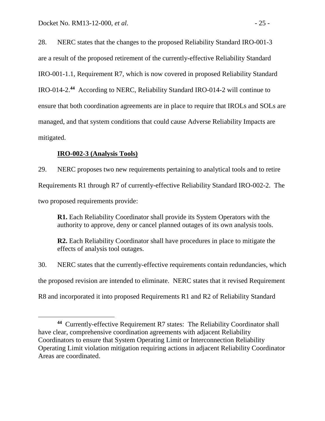28. NERC states that the changes to the proposed Reliability Standard IRO-001-3 are a result of the proposed retirement of the currently-effective Reliability Standard IRO-001-1.1, Requirement R7, which is now covered in proposed Reliability Standard IRO-014-2. **44** According to NERC, Reliability Standard IRO-014-2 will continue to ensure that both coordination agreements are in place to require that IROLs and SOLs are managed, and that system conditions that could cause Adverse Reliability Impacts are mitigated.

## **IRO-002-3 (Analysis Tools)**

 $\overline{a}$ 

29. NERC proposes two new requirements pertaining to analytical tools and to retire Requirements R1 through R7 of currently-effective Reliability Standard IRO-002-2. The two proposed requirements provide:

**R1.** Each Reliability Coordinator shall provide its System Operators with the authority to approve, deny or cancel planned outages of its own analysis tools.

**R2.** Each Reliability Coordinator shall have procedures in place to mitigate the effects of analysis tool outages.

30. NERC states that the currently-effective requirements contain redundancies, which the proposed revision are intended to eliminate. NERC states that it revised Requirement R8 and incorporated it into proposed Requirements R1 and R2 of Reliability Standard

**<sup>44</sup>** Currently-effective Requirement R7 states: The Reliability Coordinator shall have clear, comprehensive coordination agreements with adjacent Reliability Coordinators to ensure that System Operating Limit or Interconnection Reliability Operating Limit violation mitigation requiring actions in adjacent Reliability Coordinator Areas are coordinated.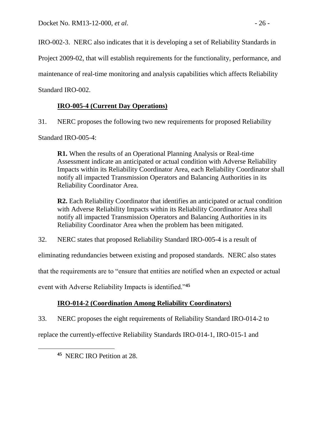IRO-002-3. NERC also indicates that it is developing a set of Reliability Standards in

Project 2009-02, that will establish requirements for the functionality, performance, and

maintenance of real-time monitoring and analysis capabilities which affects Reliability

Standard IRO-002.

# **IRO-005-4 (Current Day Operations)**

31. NERC proposes the following two new requirements for proposed Reliability

Standard IRO-005-4:

**R1.** When the results of an Operational Planning Analysis or Real-time Assessment indicate an anticipated or actual condition with Adverse Reliability Impacts within its Reliability Coordinator Area, each Reliability Coordinator shall notify all impacted Transmission Operators and Balancing Authorities in its Reliability Coordinator Area.

**R2.** Each Reliability Coordinator that identifies an anticipated or actual condition with Adverse Reliability Impacts within its Reliability Coordinator Area shall notify all impacted Transmission Operators and Balancing Authorities in its Reliability Coordinator Area when the problem has been mitigated.

32. NERC states that proposed Reliability Standard IRO-005-4 is a result of

eliminating redundancies between existing and proposed standards. NERC also states

that the requirements are to "ensure that entities are notified when an expected or actual

event with Adverse Reliability Impacts is identified."**<sup>45</sup>**

# **IRO-014-2 (Coordination Among Reliability Coordinators)**

33. NERC proposes the eight requirements of Reliability Standard IRO-014-2 to

replace the currently-effective Reliability Standards IRO-014-1, IRO-015-1 and

**45** NERC IRO Petition at 28.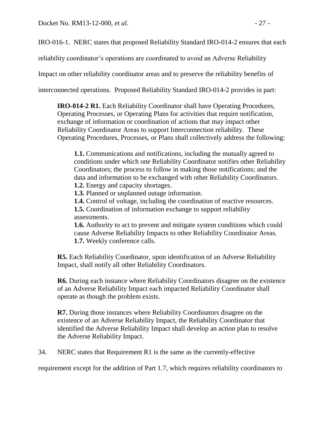IRO-016-1. NERC states that proposed Reliability Standard IRO-014-2 ensures that each

reliability coordinator's operations are coordinated to avoid an Adverse Reliability

Impact on other reliability coordinator areas and to preserve the reliability benefits of

interconnected operations. Proposed Reliability Standard IRO-014-2 provides in part:

**IRO-014-2 R1.** Each Reliability Coordinator shall have Operating Procedures, Operating Processes, or Operating Plans for activities that require notification, exchange of information or coordination of actions that may impact other Reliability Coordinator Areas to support Interconnection reliability. These Operating Procedures, Processes, or Plans shall collectively address the following:

**1.1.** Communications and notifications, including the mutually agreed to conditions under which one Reliability Coordinator notifies other Reliability Coordinators; the process to follow in making those notifications; and the data and information to be exchanged with other Reliability Coordinators. **1.2.** Energy and capacity shortages.

**1.3.** Planned or unplanned outage information.

**1.4.** Control of voltage, including the coordination of reactive resources. **1.5.** Coordination of information exchange to support reliability assessments.

**1.6.** Authority to act to prevent and mitigate system conditions which could cause Adverse Reliability Impacts to other Reliability Coordinator Areas. **1.7.** Weekly conference calls.

**R5.** Each Reliability Coordinator, upon identification of an Adverse Reliability Impact, shall notify all other Reliability Coordinators.

**R6.** During each instance where Reliability Coordinators disagree on the existence of an Adverse Reliability Impact each impacted Reliability Coordinator shall operate as though the problem exists.

**R7.** During those instances where Reliability Coordinators disagree on the existence of an Adverse Reliability Impact, the Reliability Coordinator that identified the Adverse Reliability Impact shall develop an action plan to resolve the Adverse Reliability Impact.

34. NERC states that Requirement R1 is the same as the currently-effective

requirement except for the addition of Part 1.7, which requires reliability coordinators to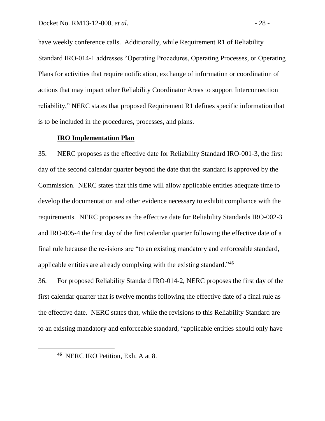have weekly conference calls. Additionally, while Requirement R1 of Reliability Standard IRO-014-1 addresses "Operating Procedures, Operating Processes, or Operating Plans for activities that require notification, exchange of information or coordination of actions that may impact other Reliability Coordinator Areas to support Interconnection reliability," NERC states that proposed Requirement R1 defines specific information that is to be included in the procedures, processes, and plans.

#### **IRO Implementation Plan**

35. NERC proposes as the effective date for Reliability Standard IRO-001-3, the first day of the second calendar quarter beyond the date that the standard is approved by the Commission. NERC states that this time will allow applicable entities adequate time to develop the documentation and other evidence necessary to exhibit compliance with the requirements. NERC proposes as the effective date for Reliability Standards IRO-002-3 and IRO-005-4 the first day of the first calendar quarter following the effective date of a final rule because the revisions are "to an existing mandatory and enforceable standard, applicable entities are already complying with the existing standard." **46**

36. For proposed Reliability Standard IRO-014-2, NERC proposes the first day of the first calendar quarter that is twelve months following the effective date of a final rule as the effective date. NERC states that, while the revisions to this Reliability Standard are to an existing mandatory and enforceable standard, "applicable entities should only have

**<sup>46</sup>** NERC IRO Petition, Exh. A at 8.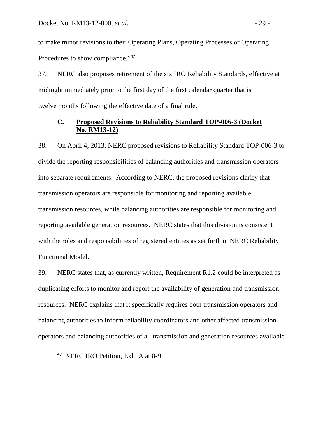to make minor revisions to their Operating Plans, Operating Processes or Operating Procedures to show compliance." **47**

37. NERC also proposes retirement of the six IRO Reliability Standards, effective at midnight immediately prior to the first day of the first calendar quarter that is twelve months following the effective date of a final rule.

## **C. Proposed Revisions to Reliability Standard TOP-006-3 (Docket No. RM13-12)**

38. On April 4, 2013, NERC proposed revisions to Reliability Standard TOP-006-3 to divide the reporting responsibilities of balancing authorities and transmission operators into separate requirements. According to NERC, the proposed revisions clarify that transmission operators are responsible for monitoring and reporting available transmission resources, while balancing authorities are responsible for monitoring and reporting available generation resources. NERC states that this division is consistent with the roles and responsibilities of registered entities as set forth in NERC Reliability Functional Model.

39. NERC states that, as currently written, Requirement R1.2 could be interpreted as duplicating efforts to monitor and report the availability of generation and transmission resources. NERC explains that it specifically requires both transmission operators and balancing authorities to inform reliability coordinators and other affected transmission operators and balancing authorities of all transmission and generation resources available

**47** NERC IRO Petition, Exh. A at 8-9.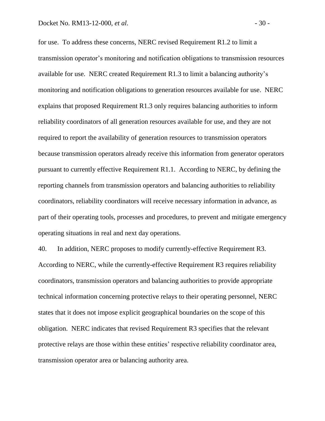for use. To address these concerns, NERC revised Requirement R1.2 to limit a transmission operator's monitoring and notification obligations to transmission resources available for use. NERC created Requirement R1.3 to limit a balancing authority's monitoring and notification obligations to generation resources available for use. NERC explains that proposed Requirement R1.3 only requires balancing authorities to inform reliability coordinators of all generation resources available for use, and they are not required to report the availability of generation resources to transmission operators because transmission operators already receive this information from generator operators pursuant to currently effective Requirement R1.1. According to NERC, by defining the reporting channels from transmission operators and balancing authorities to reliability coordinators, reliability coordinators will receive necessary information in advance, as part of their operating tools, processes and procedures, to prevent and mitigate emergency operating situations in real and next day operations.

40. In addition, NERC proposes to modify currently-effective Requirement R3. According to NERC, while the currently-effective Requirement R3 requires reliability coordinators, transmission operators and balancing authorities to provide appropriate technical information concerning protective relays to their operating personnel, NERC states that it does not impose explicit geographical boundaries on the scope of this obligation. NERC indicates that revised Requirement R3 specifies that the relevant protective relays are those within these entities' respective reliability coordinator area, transmission operator area or balancing authority area.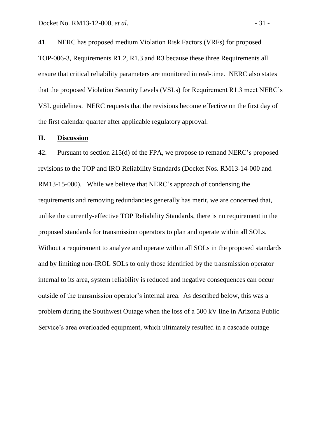41. NERC has proposed medium Violation Risk Factors (VRFs) for proposed TOP-006-3, Requirements R1.2, R1.3 and R3 because these three Requirements all ensure that critical reliability parameters are monitored in real-time. NERC also states that the proposed Violation Security Levels (VSLs) for Requirement R1.3 meet NERC's VSL guidelines. NERC requests that the revisions become effective on the first day of the first calendar quarter after applicable regulatory approval.

#### **II. Discussion**

42. Pursuant to section 215(d) of the FPA, we propose to remand NERC's proposed revisions to the TOP and IRO Reliability Standards (Docket Nos. RM13-14-000 and RM13-15-000). While we believe that NERC's approach of condensing the requirements and removing redundancies generally has merit, we are concerned that, unlike the currently-effective TOP Reliability Standards, there is no requirement in the proposed standards for transmission operators to plan and operate within all SOLs. Without a requirement to analyze and operate within all SOLs in the proposed standards and by limiting non-IROL SOLs to only those identified by the transmission operator internal to its area, system reliability is reduced and negative consequences can occur outside of the transmission operator's internal area. As described below, this was a problem during the Southwest Outage when the loss of a 500 kV line in Arizona Public Service's area overloaded equipment, which ultimately resulted in a cascade outage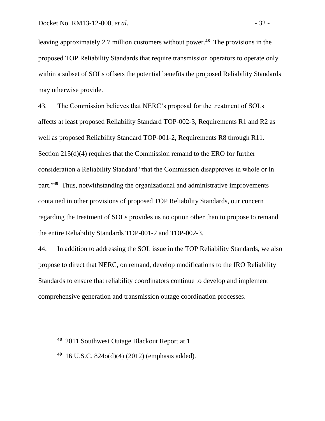leaving approximately 2.7 million customers without power.**<sup>48</sup>** The provisions in the proposed TOP Reliability Standards that require transmission operators to operate only within a subset of SOLs offsets the potential benefits the proposed Reliability Standards may otherwise provide.

43. The Commission believes that NERC's proposal for the treatment of SOLs affects at least proposed Reliability Standard TOP-002-3, Requirements R1 and R2 as well as proposed Reliability Standard TOP-001-2, Requirements R8 through R11. Section 215(d)(4) requires that the Commission remand to the ERO for further consideration a Reliability Standard "that the Commission disapproves in whole or in part."<sup>49</sup> Thus, notwithstanding the organizational and administrative improvements contained in other provisions of proposed TOP Reliability Standards, our concern regarding the treatment of SOLs provides us no option other than to propose to remand the entire Reliability Standards TOP-001-2 and TOP-002-3.

44. In addition to addressing the SOL issue in the TOP Reliability Standards, we also propose to direct that NERC, on remand, develop modifications to the IRO Reliability Standards to ensure that reliability coordinators continue to develop and implement comprehensive generation and transmission outage coordination processes.

 $\overline{a}$ 

**<sup>48</sup>** 2011 Southwest Outage Blackout Report at 1.

**<sup>49</sup>** 16 U.S.C. 824o(d)(4) (2012) (emphasis added).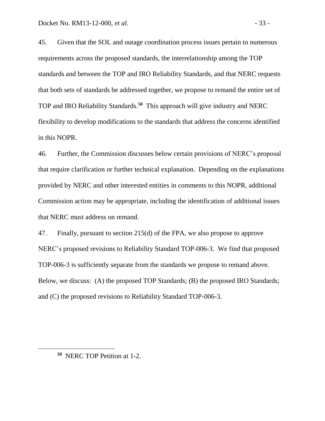45. Given that the SOL and outage coordination process issues pertain to numerous requirements across the proposed standards, the interrelationship among the TOP standards and between the TOP and IRO Reliability Standards, and that NERC requests that both sets of standards be addressed together, we propose to remand the entire set of TOP and IRO Reliability Standards.**<sup>50</sup>** This approach will give industry and NERC flexibility to develop modifications to the standards that address the concerns identified in this NOPR.

46. Further, the Commission discusses below certain provisions of NERC's proposal that require clarification or further technical explanation. Depending on the explanations provided by NERC and other interested entities in comments to this NOPR, additional Commission action may be appropriate, including the identification of additional issues that NERC must address on remand.

47. Finally, pursuant to section 215(d) of the FPA, we also propose to approve NERC's proposed revisions to Reliability Standard TOP-006-3. We find that proposed TOP-006-3 is sufficiently separate from the standards we propose to remand above. Below, we discuss: (A) the proposed TOP Standards; (B) the proposed IRO Standards; and (C) the proposed revisions to Reliability Standard TOP-006-3.

**<sup>50</sup>** NERC TOP Petition at 1-2.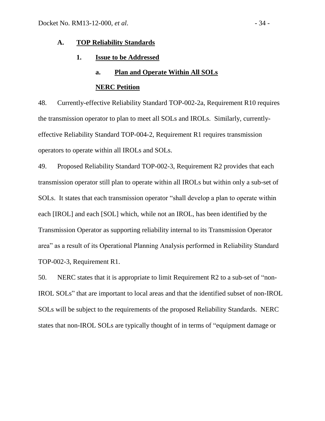#### **A. TOP Reliability Standards**

#### **1. Issue to be Addressed**

#### **a. Plan and Operate Within All SOLs**

#### **NERC Petition**

48. Currently-effective Reliability Standard TOP-002-2a, Requirement R10 requires the transmission operator to plan to meet all SOLs and IROLs. Similarly, currentlyeffective Reliability Standard TOP-004-2, Requirement R1 requires transmission operators to operate within all IROLs and SOLs.

49. Proposed Reliability Standard TOP-002-3, Requirement R2 provides that each transmission operator still plan to operate within all IROLs but within only a sub-set of SOLs. It states that each transmission operator "shall develop a plan to operate within each [IROL] and each [SOL] which, while not an IROL, has been identified by the Transmission Operator as supporting reliability internal to its Transmission Operator area" as a result of its Operational Planning Analysis performed in Reliability Standard TOP-002-3, Requirement R1.

50. NERC states that it is appropriate to limit Requirement R2 to a sub-set of "non-IROL SOLs" that are important to local areas and that the identified subset of non-IROL SOLs will be subject to the requirements of the proposed Reliability Standards. NERC states that non-IROL SOLs are typically thought of in terms of "equipment damage or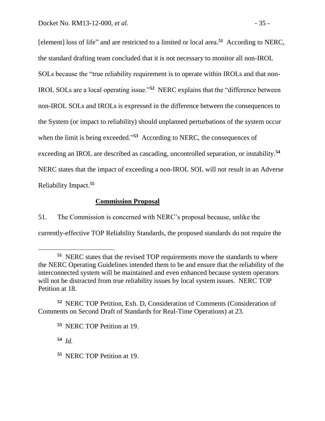[element] loss of life" and are restricted to a limited or local area.**<sup>51</sup>** According to NERC, the standard drafting team concluded that it is not necessary to monitor all non-IROL SOLs because the "true reliability requirement is to operate within IROLs and that non-IROL SOLs are a local operating issue."**<sup>52</sup>** NERC explains that the "difference between non-IROL SOLs and IROLs is expressed in the difference between the consequences to the System (or impact to reliability) should unplanned perturbations of the system occur when the limit is being exceeded.<sup>553</sup> According to NERC, the consequences of exceeding an IROL are described as cascading, uncontrolled separation, or instability.**<sup>54</sup>** NERC states that the impact of exceeding a non-IROL SOL will not result in an Adverse Reliability Impact.**<sup>55</sup>**

# **Commission Proposal**

51. The Commission is concerned with NERC's proposal because, unlike the currently-effective TOP Reliability Standards, the proposed standards do not require the

**54** *Id.*

**<sup>51</sup>** NERC states that the revised TOP requirements move the standards to where the NERC Operating Guidelines intended them to be and ensure that the reliability of the interconnected system will be maintained and even enhanced because system operators will not be distracted from true reliability issues by local system issues. NERC TOP Petition at 18.

**<sup>52</sup>** NERC TOP Petition, Exh. D, Consideration of Comments (Consideration of Comments on Second Draft of Standards for Real-Time Operations) at 23.

**<sup>53</sup>** NERC TOP Petition at 19.

**<sup>55</sup>** NERC TOP Petition at 19.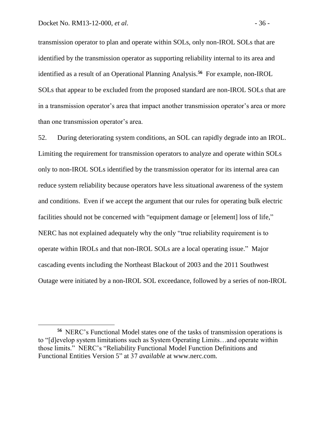transmission operator to plan and operate within SOLs, only non-IROL SOLs that are identified by the transmission operator as supporting reliability internal to its area and identified as a result of an Operational Planning Analysis.**<sup>56</sup>** For example, non-IROL SOLs that appear to be excluded from the proposed standard are non-IROL SOLs that are in a transmission operator's area that impact another transmission operator's area or more than one transmission operator's area.

52. During deteriorating system conditions, an SOL can rapidly degrade into an IROL. Limiting the requirement for transmission operators to analyze and operate within SOLs only to non-IROL SOLs identified by the transmission operator for its internal area can reduce system reliability because operators have less situational awareness of the system and conditions. Even if we accept the argument that our rules for operating bulk electric facilities should not be concerned with "equipment damage or [element] loss of life," NERC has not explained adequately why the only "true reliability requirement is to operate within IROLs and that non-IROL SOLs are a local operating issue." Major cascading events including the Northeast Blackout of 2003 and the 2011 Southwest Outage were initiated by a non-IROL SOL exceedance, followed by a series of non-IROL

**<sup>56</sup>** NERC's Functional Model states one of the tasks of transmission operations is to "[d]evelop system limitations such as System Operating Limits…and operate within those limits." NERC's "Reliability Functional Model Function Definitions and Functional Entities Version 5" at 37 *available* at www.nerc.com.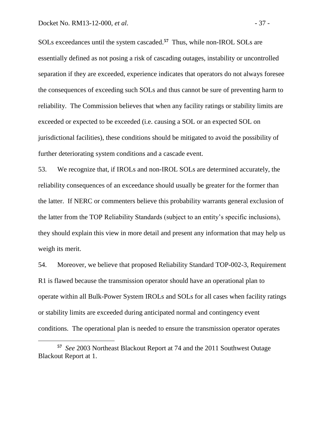SOLs exceedances until the system cascaded.**<sup>57</sup>** Thus, while non-IROL SOLs are essentially defined as not posing a risk of cascading outages, instability or uncontrolled separation if they are exceeded, experience indicates that operators do not always foresee the consequences of exceeding such SOLs and thus cannot be sure of preventing harm to reliability. The Commission believes that when any facility ratings or stability limits are exceeded or expected to be exceeded (i.e. causing a SOL or an expected SOL on jurisdictional facilities), these conditions should be mitigated to avoid the possibility of further deteriorating system conditions and a cascade event.

53. We recognize that, if IROLs and non-IROL SOLs are determined accurately, the reliability consequences of an exceedance should usually be greater for the former than the latter. If NERC or commenters believe this probability warrants general exclusion of the latter from the TOP Reliability Standards (subject to an entity's specific inclusions), they should explain this view in more detail and present any information that may help us weigh its merit.

54. Moreover, we believe that proposed Reliability Standard TOP-002-3, Requirement R1 is flawed because the transmission operator should have an operational plan to operate within all Bulk-Power System IROLs and SOLs for all cases when facility ratings or stability limits are exceeded during anticipated normal and contingency event conditions. The operational plan is needed to ensure the transmission operator operates

**<sup>57</sup>** *See* 2003 Northeast Blackout Report at 74 and the 2011 Southwest Outage Blackout Report at 1.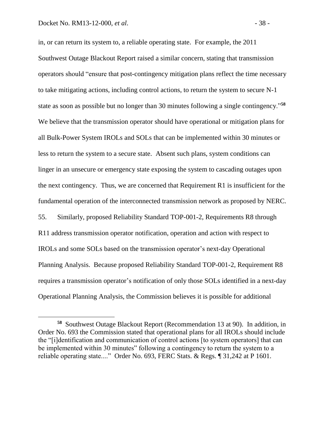in, or can return its system to, a reliable operating state. For example, the 2011 Southwest Outage Blackout Report raised a similar concern, stating that transmission operators should "ensure that post-contingency mitigation plans reflect the time necessary to take mitigating actions, including control actions, to return the system to secure N-1 state as soon as possible but no longer than 30 minutes following a single contingency."**<sup>58</sup>** We believe that the transmission operator should have operational or mitigation plans for all Bulk-Power System IROLs and SOLs that can be implemented within 30 minutes or less to return the system to a secure state. Absent such plans, system conditions can linger in an unsecure or emergency state exposing the system to cascading outages upon the next contingency. Thus, we are concerned that Requirement R1 is insufficient for the fundamental operation of the interconnected transmission network as proposed by NERC. 55. Similarly, proposed Reliability Standard TOP-001-2, Requirements R8 through R11 address transmission operator notification, operation and action with respect to IROLs and some SOLs based on the transmission operator's next-day Operational Planning Analysis. Because proposed Reliability Standard TOP-001-2, Requirement R8 requires a transmission operator's notification of only those SOLs identified in a next-day Operational Planning Analysis, the Commission believes it is possible for additional

**<sup>58</sup>** Southwest Outage Blackout Report (Recommendation 13 at 90). In addition, in Order No. 693 the Commission stated that operational plans for all IROLs should include the "[i]dentification and communication of control actions [to system operators] that can be implemented within 30 minutes" following a contingency to return the system to a reliable operating state...." Order No. 693, FERC Stats. & Regs. ¶ 31,242 at P 1601.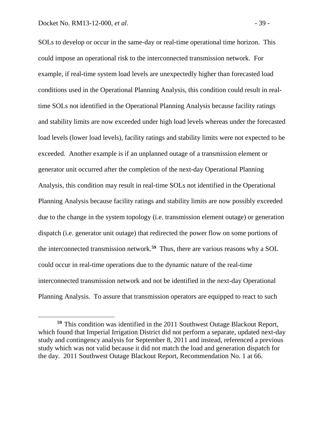SOLs to develop or occur in the same-day or real-time operational time horizon. This could impose an operational risk to the interconnected transmission network. For example, if real-time system load levels are unexpectedly higher than forecasted load conditions used in the Operational Planning Analysis, this condition could result in realtime SOLs not identified in the Operational Planning Analysis because facility ratings and stability limits are now exceeded under high load levels whereas under the forecasted load levels (lower load levels), facility ratings and stability limits were not expected to be exceeded. Another example is if an unplanned outage of a transmission element or generator unit occurred after the completion of the next-day Operational Planning Analysis, this condition may result in real-time SOLs not identified in the Operational Planning Analysis because facility ratings and stability limits are now possibly exceeded due to the change in the system topology (i.e. transmission element outage) or generation dispatch (i.e. generator unit outage) that redirected the power flow on some portions of the interconnected transmission network.**<sup>59</sup>** Thus, there are various reasons why a SOL could occur in real-time operations due to the dynamic nature of the real-time interconnected transmission network and not be identified in the next-day Operational Planning Analysis. To assure that transmission operators are equipped to react to such

**<sup>59</sup>** This condition was identified in the 2011 Southwest Outage Blackout Report, which found that Imperial Irrigation District did not perform a separate, updated next-day study and contingency analysis for September 8, 2011 and instead, referenced a previous study which was not valid because it did not match the load and generation dispatch for the day. 2011 Southwest Outage Blackout Report, Recommendation No. 1 at 66.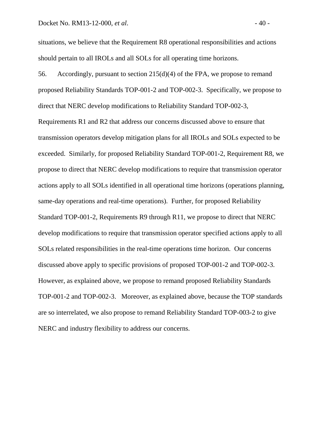situations, we believe that the Requirement R8 operational responsibilities and actions should pertain to all IROLs and all SOLs for all operating time horizons.

56. Accordingly, pursuant to section 215(d)(4) of the FPA, we propose to remand proposed Reliability Standards TOP-001-2 and TOP-002-3. Specifically, we propose to direct that NERC develop modifications to Reliability Standard TOP-002-3, Requirements R1 and R2 that address our concerns discussed above to ensure that transmission operators develop mitigation plans for all IROLs and SOLs expected to be exceeded. Similarly, for proposed Reliability Standard TOP-001-2, Requirement R8, we propose to direct that NERC develop modifications to require that transmission operator actions apply to all SOLs identified in all operational time horizons (operations planning, same-day operations and real-time operations). Further, for proposed Reliability Standard TOP-001-2, Requirements R9 through R11, we propose to direct that NERC develop modifications to require that transmission operator specified actions apply to all SOLs related responsibilities in the real-time operations time horizon. Our concerns discussed above apply to specific provisions of proposed TOP-001-2 and TOP-002-3. However, as explained above, we propose to remand proposed Reliability Standards TOP-001-2 and TOP-002-3. Moreover, as explained above, because the TOP standards are so interrelated, we also propose to remand Reliability Standard TOP-003-2 to give NERC and industry flexibility to address our concerns.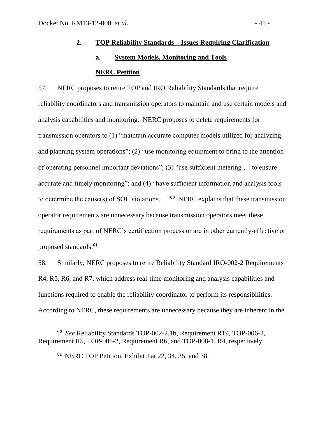# **2. TOP Reliability Standards – Issues Requiring Clarification a. System Models, Monitoring and Tools NERC Petition**

57. NERC proposes to retire TOP and IRO Reliability Standards that require reliability coordinators and transmission operators to maintain and use certain models and analysis capabilities and monitoring. NERC proposes to delete requirements for transmission operators to (1) "maintain accurate computer models utilized for analyzing and planning system operations"; (2) "use monitoring equipment to bring to the attention of operating personnel important deviations"; (3) "use sufficient metering … to ensure accurate and timely monitoring"; and (4) "have sufficient information and analysis tools to determine the cause(s) of SOL violations…."**<sup>60</sup>** NERC explains that these transmission operator requirements are unnecessary because transmission operators meet these requirements as part of NERC's certification process or are in other currently-effective or proposed standards.**<sup>61</sup>**

58. Similarly, NERC proposes to retire Reliability Standard IRO-002-2 Requirements R4, R5, R6, and R7, which address real-time monitoring and analysis capabilities and functions required to enable the reliability coordinator to perform its responsibilities. According to NERC, these requirements are unnecessary because they are inherent in the

**<sup>60</sup>** *See* Reliability Standards TOP-002-2.1b, Requirement R19, TOP-006-2, Requirement R5, TOP-006-2, Requirement R6, and TOP-008-1, R4, respectively.

**<sup>61</sup>** NERC TOP Petition, Exhibit J at 22, 34, 35, and 38.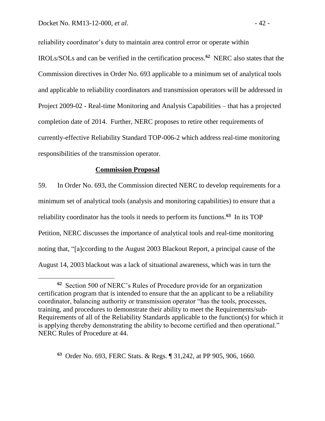reliability coordinator's duty to maintain area control error or operate within IROLs/SOLs and can be verified in the certification process.**<sup>62</sup>** NERC also states that the Commission directives in Order No. 693 applicable to a minimum set of analytical tools and applicable to reliability coordinators and transmission operators will be addressed in Project 2009-02 - Real-time Monitoring and Analysis Capabilities – that has a projected completion date of 2014. Further, NERC proposes to retire other requirements of currently-effective Reliability Standard TOP-006-2 which address real-time monitoring responsibilities of the transmission operator.

#### **Commission Proposal**

59. In Order No. 693, the Commission directed NERC to develop requirements for a minimum set of analytical tools (analysis and monitoring capabilities) to ensure that a reliability coordinator has the tools it needs to perform its functions. **63** In its TOP Petition, NERC discusses the importance of analytical tools and real-time monitoring noting that, "[a]ccording to the August 2003 Blackout Report, a principal cause of the August 14, 2003 blackout was a lack of situational awareness, which was in turn the

**63** Order No. 693, FERC Stats. & Regs. ¶ 31,242, at PP 905, 906, 1660.

**<sup>62</sup>** Section 500 of NERC's Rules of Procedure provide for an organization certification program that is intended to ensure that the an applicant to be a reliability coordinator, balancing authority or transmission operator "has the tools, processes, training, and procedures to demonstrate their ability to meet the Requirements/sub-Requirements of all of the Reliability Standards applicable to the function(s) for which it is applying thereby demonstrating the ability to become certified and then operational." NERC Rules of Procedure at 44.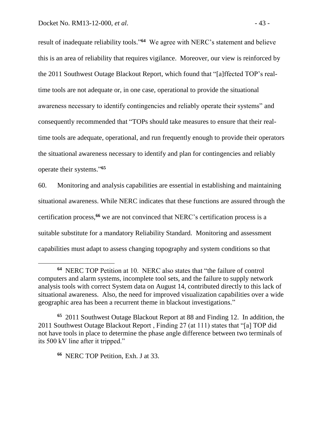result of inadequate reliability tools."<sup>64</sup> We agree with NERC's statement and believe this is an area of reliability that requires vigilance. Moreover, our view is reinforced by the 2011 Southwest Outage Blackout Report, which found that "[a]ffected TOP's realtime tools are not adequate or, in one case, operational to provide the situational awareness necessary to identify contingencies and reliably operate their systems" and consequently recommended that "TOPs should take measures to ensure that their realtime tools are adequate, operational, and run frequently enough to provide their operators the situational awareness necessary to identify and plan for contingencies and reliably operate their systems." **65**

60. Monitoring and analysis capabilities are essential in establishing and maintaining situational awareness. While NERC indicates that these functions are assured through the certification process,**<sup>66</sup>** we are not convinced that NERC's certification process is a suitable substitute for a mandatory Reliability Standard. Monitoring and assessment capabilities must adapt to assess changing topography and system conditions so that

**<sup>64</sup>** NERC TOP Petition at 10. NERC also states that "the failure of control computers and alarm systems, incomplete tool sets, and the failure to supply network analysis tools with correct System data on August 14, contributed directly to this lack of situational awareness. Also, the need for improved visualization capabilities over a wide geographic area has been a recurrent theme in blackout investigations."

**<sup>65</sup>** 2011 Southwest Outage Blackout Report at 88 and Finding 12. In addition, the 2011 Southwest Outage Blackout Report , Finding 27 (at 111) states that "[a] TOP did not have tools in place to determine the phase angle difference between two terminals of its 500 kV line after it tripped."

**<sup>66</sup>** NERC TOP Petition, Exh. J at 33.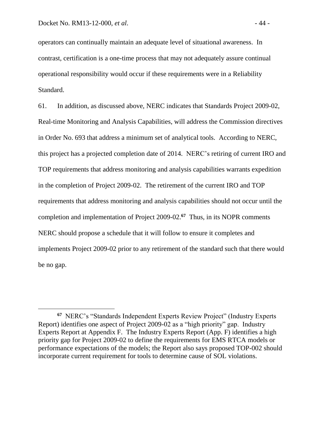operators can continually maintain an adequate level of situational awareness. In contrast, certification is a one-time process that may not adequately assure continual operational responsibility would occur if these requirements were in a Reliability Standard.

61. In addition, as discussed above, NERC indicates that Standards Project 2009-02, Real-time Monitoring and Analysis Capabilities, will address the Commission directives in Order No. 693 that address a minimum set of analytical tools. According to NERC, this project has a projected completion date of 2014. NERC's retiring of current IRO and TOP requirements that address monitoring and analysis capabilities warrants expedition in the completion of Project 2009-02. The retirement of the current IRO and TOP requirements that address monitoring and analysis capabilities should not occur until the completion and implementation of Project 2009-02.**<sup>67</sup>** Thus, in its NOPR comments NERC should propose a schedule that it will follow to ensure it completes and implements Project 2009-02 prior to any retirement of the standard such that there would be no gap.

**<sup>67</sup>** NERC's "Standards Independent Experts Review Project" (Industry Experts Report) identifies one aspect of Project 2009-02 as a "high priority" gap. Industry Experts Report at Appendix F. The Industry Experts Report (App. F) identifies a high priority gap for Project 2009-02 to define the requirements for EMS RTCA models or performance expectations of the models; the Report also says proposed TOP-002 should incorporate current requirement for tools to determine cause of SOL violations.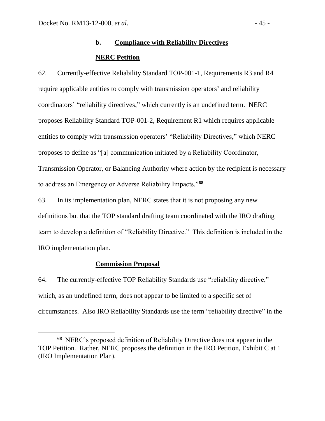# **b. Compliance with Reliability Directives NERC Petition**

62. Currently-effective Reliability Standard TOP-001-1, Requirements R3 and R4 require applicable entities to comply with transmission operators' and reliability coordinators' "reliability directives," which currently is an undefined term. NERC proposes Reliability Standard TOP-001-2, Requirement R1 which requires applicable entities to comply with transmission operators' "Reliability Directives," which NERC proposes to define as "[a] communication initiated by a Reliability Coordinator, Transmission Operator, or Balancing Authority where action by the recipient is necessary to address an Emergency or Adverse Reliability Impacts."**<sup>68</sup>**

63. In its implementation plan, NERC states that it is not proposing any new definitions but that the TOP standard drafting team coordinated with the IRO drafting team to develop a definition of "Reliability Directive." This definition is included in the IRO implementation plan.

# **Commission Proposal**

 $\overline{a}$ 

64. The currently-effective TOP Reliability Standards use "reliability directive," which, as an undefined term, does not appear to be limited to a specific set of circumstances. Also IRO Reliability Standards use the term "reliability directive" in the

**<sup>68</sup>** NERC's proposed definition of Reliability Directive does not appear in the TOP Petition. Rather, NERC proposes the definition in the IRO Petition, Exhibit C at 1 (IRO Implementation Plan).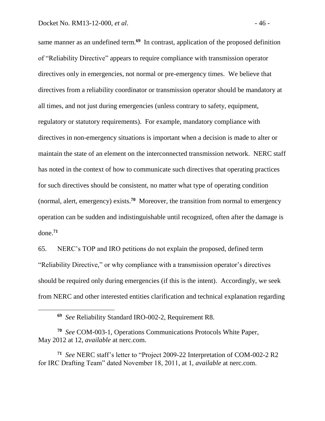same manner as an undefined term.**<sup>69</sup>** In contrast, application of the proposed definition of "Reliability Directive" appears to require compliance with transmission operator directives only in emergencies, not normal or pre-emergency times. We believe that directives from a reliability coordinator or transmission operator should be mandatory at all times, and not just during emergencies (unless contrary to safety, equipment, regulatory or statutory requirements). For example, mandatory compliance with directives in non-emergency situations is important when a decision is made to alter or maintain the state of an element on the interconnected transmission network. NERC staff has noted in the context of how to communicate such directives that operating practices for such directives should be consistent, no matter what type of operating condition (normal, alert, emergency) exists.**<sup>70</sup>** Moreover, the transition from normal to emergency operation can be sudden and indistinguishable until recognized, often after the damage is done.**<sup>71</sup>**

65. NERC's TOP and IRO petitions do not explain the proposed, defined term "Reliability Directive," or why compliance with a transmission operator's directives should be required only during emergencies (if this is the intent). Accordingly, we seek from NERC and other interested entities clarification and technical explanation regarding

**<sup>69</sup>** *See* Reliability Standard IRO-002-2, Requirement R8.

**<sup>70</sup>** *See* COM-003-1, Operations Communications Protocols White Paper, May 2012 at 12, *available* at nerc.com.

**<sup>71</sup>** *See* NERC staff's letter to "Project 2009-22 Interpretation of COM-002-2 R2 for IRC Drafting Team" dated November 18, 2011, at 1, *available* at nerc.com.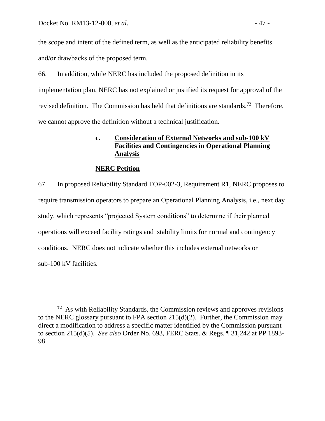the scope and intent of the defined term, as well as the anticipated reliability benefits and/or drawbacks of the proposed term.

66. In addition, while NERC has included the proposed definition in its implementation plan, NERC has not explained or justified its request for approval of the revised definition. The Commission has held that definitions are standards. **72** Therefore, we cannot approve the definition without a technical justification.

# **c. Consideration of External Networks and sub-100 kV Facilities and Contingencies in Operational Planning Analysis**

# **NERC Petition**

67. In proposed Reliability Standard TOP-002-3, Requirement R1, NERC proposes to require transmission operators to prepare an Operational Planning Analysis, i.e., next day study, which represents "projected System conditions" to determine if their planned operations will exceed facility ratings and stability limits for normal and contingency conditions. NERC does not indicate whether this includes external networks or sub-100 kV facilities.

**<sup>72</sup>** As with Reliability Standards, the Commission reviews and approves revisions to the NERC glossary pursuant to FPA section 215(d)(2). Further, the Commission may direct a modification to address a specific matter identified by the Commission pursuant to section 215(d)(5). *See also* Order No. 693, FERC Stats. & Regs. ¶ 31,242 at PP 1893- 98.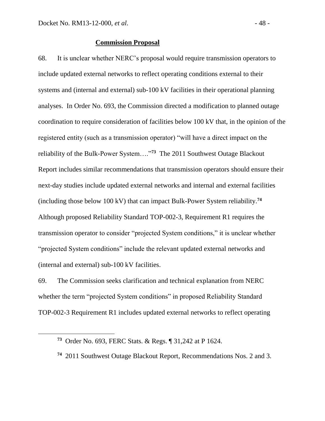#### **Commission Proposal**

68. It is unclear whether NERC's proposal would require transmission operators to include updated external networks to reflect operating conditions external to their systems and (internal and external) sub-100 kV facilities in their operational planning analyses. In Order No. 693, the Commission directed a modification to planned outage coordination to require consideration of facilities below 100 kV that, in the opinion of the registered entity (such as a transmission operator) "will have a direct impact on the reliability of the Bulk-Power System…."**<sup>73</sup>** The 2011 Southwest Outage Blackout Report includes similar recommendations that transmission operators should ensure their next-day studies include updated external networks and internal and external facilities (including those below 100 kV) that can impact Bulk-Power System reliability. **74** Although proposed Reliability Standard TOP-002-3, Requirement R1 requires the transmission operator to consider "projected System conditions," it is unclear whether "projected System conditions" include the relevant updated external networks and (internal and external) sub-100 kV facilities.

69. The Commission seeks clarification and technical explanation from NERC whether the term "projected System conditions" in proposed Reliability Standard TOP-002-3 Requirement R1 includes updated external networks to reflect operating

**<sup>73</sup>** Order No. 693, FERC Stats. & Regs. ¶ 31,242 at P 1624.

**<sup>74</sup>** 2011 Southwest Outage Blackout Report, Recommendations Nos. 2 and 3.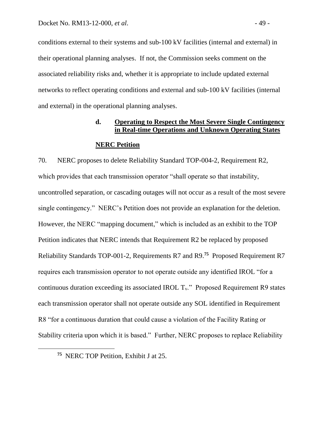conditions external to their systems and sub-100 kV facilities (internal and external) in their operational planning analyses. If not, the Commission seeks comment on the associated reliability risks and, whether it is appropriate to include updated external networks to reflect operating conditions and external and sub-100 kV facilities (internal and external) in the operational planning analyses.

# **d. Operating to Respect the Most Severe Single Contingency in Real-time Operations and Unknown Operating States**

#### **NERC Petition**

70. NERC proposes to delete Reliability Standard TOP-004-2, Requirement R2, which provides that each transmission operator "shall operate so that instability, uncontrolled separation, or cascading outages will not occur as a result of the most severe single contingency." NERC's Petition does not provide an explanation for the deletion. However, the NERC "mapping document," which is included as an exhibit to the TOP Petition indicates that NERC intends that Requirement R2 be replaced by proposed Reliability Standards TOP-001-2, Requirements R7 and R9.**<sup>75</sup>** Proposed Requirement R7 requires each transmission operator to not operate outside any identified IROL "for a continuous duration exceeding its associated IROL  $T_v$ ." Proposed Requirement R9 states each transmission operator shall not operate outside any SOL identified in Requirement R8 "for a continuous duration that could cause a violation of the Facility Rating or Stability criteria upon which it is based." Further, NERC proposes to replace Reliability

**<sup>75</sup>** NERC TOP Petition, Exhibit J at 25.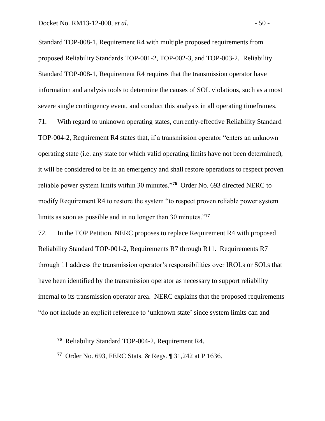Standard TOP-008-1, Requirement R4 with multiple proposed requirements from proposed Reliability Standards TOP-001-2, TOP-002-3, and TOP-003-2. Reliability Standard TOP-008-1, Requirement R4 requires that the transmission operator have information and analysis tools to determine the causes of SOL violations, such as a most severe single contingency event, and conduct this analysis in all operating timeframes.

71. With regard to unknown operating states, currently-effective Reliability Standard TOP-004-2, Requirement R4 states that, if a transmission operator "enters an unknown operating state (i.e. any state for which valid operating limits have not been determined), it will be considered to be in an emergency and shall restore operations to respect proven reliable power system limits within 30 minutes."**<sup>76</sup>** Order No. 693 directed NERC to modify Requirement R4 to restore the system "to respect proven reliable power system limits as soon as possible and in no longer than 30 minutes."**<sup>77</sup>**

72. In the TOP Petition, NERC proposes to replace Requirement R4 with proposed Reliability Standard TOP-001-2, Requirements R7 through R11. Requirements R7 through 11 address the transmission operator's responsibilities over IROLs or SOLs that have been identified by the transmission operator as necessary to support reliability internal to its transmission operator area. NERC explains that the proposed requirements "do not include an explicit reference to 'unknown state' since system limits can and

**<sup>76</sup>** Reliability Standard TOP-004-2, Requirement R4.

**<sup>77</sup>** Order No. 693, FERC Stats. & Regs. ¶ 31,242 at P 1636.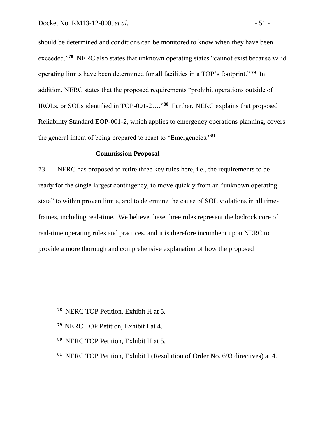should be determined and conditions can be monitored to know when they have been exceeded."<sup>78</sup> NERC also states that unknown operating states "cannot exist because valid operating limits have been determined for all facilities in a TOP's footprint." **<sup>79</sup>** In addition, NERC states that the proposed requirements "prohibit operations outside of IROLs, or SOLs identified in TOP-001-2…."**<sup>80</sup>** Further, NERC explains that proposed Reliability Standard EOP-001-2, which applies to emergency operations planning, covers the general intent of being prepared to react to "Emergencies."**<sup>81</sup>**

#### **Commission Proposal**

73. NERC has proposed to retire three key rules here, i.e., the requirements to be ready for the single largest contingency, to move quickly from an "unknown operating state" to within proven limits, and to determine the cause of SOL violations in all timeframes, including real-time. We believe these three rules represent the bedrock core of real-time operating rules and practices, and it is therefore incumbent upon NERC to provide a more thorough and comprehensive explanation of how the proposed

- **<sup>79</sup>** NERC TOP Petition, Exhibit I at 4.
- **80** NERC TOP Petition, Exhibit H at 5.
- **<sup>81</sup>** NERC TOP Petition, Exhibit I (Resolution of Order No. 693 directives) at 4.

**<sup>78</sup>** NERC TOP Petition, Exhibit H at 5.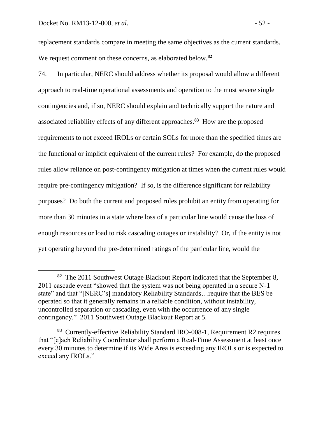replacement standards compare in meeting the same objectives as the current standards. We request comment on these concerns, as elaborated below. **82**

74. In particular, NERC should address whether its proposal would allow a different approach to real-time operational assessments and operation to the most severe single contingencies and, if so, NERC should explain and technically support the nature and associated reliability effects of any different approaches. **83** How are the proposed requirements to not exceed IROLs or certain SOLs for more than the specified times are the functional or implicit equivalent of the current rules? For example, do the proposed rules allow reliance on post-contingency mitigation at times when the current rules would require pre-contingency mitigation? If so, is the difference significant for reliability purposes? Do both the current and proposed rules prohibit an entity from operating for more than 30 minutes in a state where loss of a particular line would cause the loss of enough resources or load to risk cascading outages or instability? Or, if the entity is not yet operating beyond the pre-determined ratings of the particular line, would the

**<sup>82</sup>** The 2011 Southwest Outage Blackout Report indicated that the September 8, 2011 cascade event "showed that the system was not being operated in a secure N-1 state" and that "[NERC's] mandatory Reliability Standards…require that the BES be operated so that it generally remains in a reliable condition, without instability, uncontrolled separation or cascading, even with the occurrence of any single contingency." 2011 Southwest Outage Blackout Report at 5.

**<sup>83</sup>** Currently-effective Reliability Standard IRO-008-1, Requirement R2 requires that "[e]ach Reliability Coordinator shall perform a Real-Time Assessment at least once every 30 minutes to determine if its Wide Area is exceeding any IROLs or is expected to exceed any IROLs."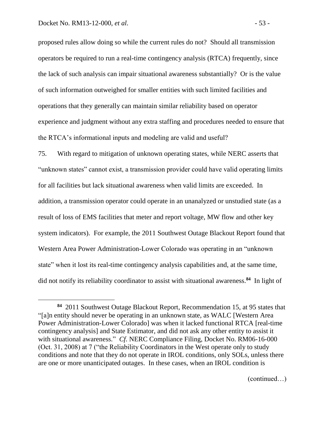proposed rules allow doing so while the current rules do not? Should all transmission operators be required to run a real-time contingency analysis (RTCA) frequently, since the lack of such analysis can impair situational awareness substantially? Or is the value of such information outweighed for smaller entities with such limited facilities and operations that they generally can maintain similar reliability based on operator experience and judgment without any extra staffing and procedures needed to ensure that the RTCA's informational inputs and modeling are valid and useful?

75. With regard to mitigation of unknown operating states, while NERC asserts that "unknown states" cannot exist, a transmission provider could have valid operating limits for all facilities but lack situational awareness when valid limits are exceeded. In addition, a transmission operator could operate in an unanalyzed or unstudied state (as a result of loss of EMS facilities that meter and report voltage, MW flow and other key system indicators). For example, the 2011 Southwest Outage Blackout Report found that Western Area Power Administration-Lower Colorado was operating in an "unknown state" when it lost its real-time contingency analysis capabilities and, at the same time, did not notify its reliability coordinator to assist with situational awareness. **84** In light of

(continued…)

**<sup>84</sup>** 2011 Southwest Outage Blackout Report, Recommendation 15, at 95 states that "[a]n entity should never be operating in an unknown state, as WALC [Western Area Power Administration-Lower Colorado] was when it lacked functional RTCA [real-time contingency analysis] and State Estimator, and did not ask any other entity to assist it with situational awareness." *Cf*. NERC Compliance Filing, Docket No. RM06-16-000 (Oct. 31, 2008) at 7 ("the Reliability Coordinators in the West operate only to study conditions and note that they do not operate in IROL conditions, only SOLs, unless there are one or more unanticipated outages. In these cases, when an IROL condition is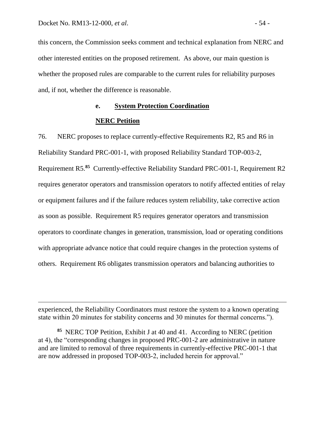this concern, the Commission seeks comment and technical explanation from NERC and other interested entities on the proposed retirement. As above, our main question is whether the proposed rules are comparable to the current rules for reliability purposes and, if not, whether the difference is reasonable.

# **e. System Protection Coordination**

# **NERC Petition**

76. NERC proposes to replace currently-effective Requirements R2, R5 and R6 in Reliability Standard PRC-001-1, with proposed Reliability Standard TOP-003-2, Requirement R5.**<sup>85</sup>** Currently-effective Reliability Standard PRC-001-1, Requirement R2 requires generator operators and transmission operators to notify affected entities of relay or equipment failures and if the failure reduces system reliability, take corrective action as soon as possible. Requirement R5 requires generator operators and transmission operators to coordinate changes in generation, transmission, load or operating conditions with appropriate advance notice that could require changes in the protection systems of others. Requirement R6 obligates transmission operators and balancing authorities to

experienced, the Reliability Coordinators must restore the system to a known operating state within 20 minutes for stability concerns and 30 minutes for thermal concerns.").

**<sup>85</sup>** NERC TOP Petition, Exhibit J at 40 and 41. According to NERC (petition at 4), the "corresponding changes in proposed PRC-001-2 are administrative in nature and are limited to removal of three requirements in currently-effective PRC-001-1 that are now addressed in proposed TOP-003-2, included herein for approval."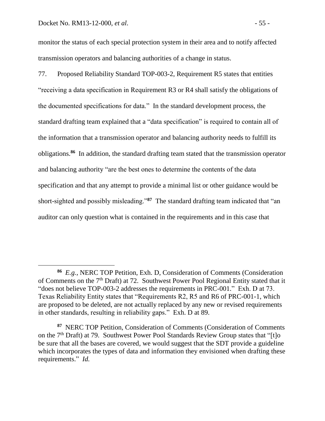monitor the status of each special protection system in their area and to notify affected transmission operators and balancing authorities of a change in status.

77. Proposed Reliability Standard TOP-003-2, Requirement R5 states that entities "receiving a data specification in Requirement R3 or R4 shall satisfy the obligations of the documented specifications for data." In the standard development process, the standard drafting team explained that a "data specification" is required to contain all of the information that a transmission operator and balancing authority needs to fulfill its obligations.**<sup>86</sup>** In addition, the standard drafting team stated that the transmission operator and balancing authority "are the best ones to determine the contents of the data specification and that any attempt to provide a minimal list or other guidance would be short-sighted and possibly misleading."**<sup>87</sup>** The standard drafting team indicated that "an auditor can only question what is contained in the requirements and in this case that

**<sup>86</sup>** *E.g.,* NERC TOP Petition, Exh. D, Consideration of Comments (Consideration of Comments on the 7<sup>th</sup> Draft) at 72. Southwest Power Pool Regional Entity stated that it "does not believe TOP-003-2 addresses the requirements in PRC-001." Exh. D at 73. Texas Reliability Entity states that "Requirements R2, R5 and R6 of PRC-001-1, which are proposed to be deleted, are not actually replaced by any new or revised requirements in other standards, resulting in reliability gaps." Exh. D at 89.

**<sup>87</sup>** NERC TOP Petition, Consideration of Comments (Consideration of Comments on the 7<sup>th</sup> Draft) at 79. Southwest Power Pool Standards Review Group states that "[t]o be sure that all the bases are covered, we would suggest that the SDT provide a guideline which incorporates the types of data and information they envisioned when drafting these requirements." *Id.*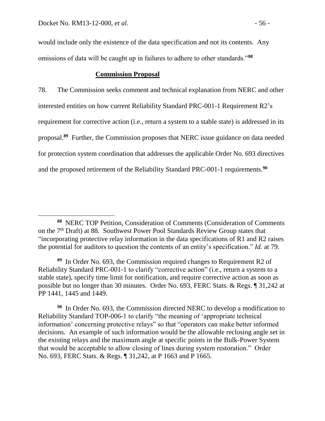would include only the existence of the data specification and not its contents. Any omissions of data will be caught up in failures to adhere to other standards."**<sup>88</sup>**

## **Commission Proposal**

78. The Commission seeks comment and technical explanation from NERC and other interested entities on how current Reliability Standard PRC-001-1 Requirement R2's requirement for corrective action (i.e., return a system to a stable state) is addressed in its proposal. **89** Further, the Commission proposes that NERC issue guidance on data needed for protection system coordination that addresses the applicable Order No. 693 directives and the proposed retirement of the Reliability Standard PRC-001-1 requirements. **90**

**<sup>88</sup>** NERC TOP Petition, Consideration of Comments (Consideration of Comments on the 7th Draft) at 88. Southwest Power Pool Standards Review Group states that "incorporating protective relay information in the data specifications of R1 and R2 raises the potential for auditors to question the contents of an entity's specification." *Id.* at 79.

**<sup>89</sup>** In Order No. 693, the Commission required changes to Requirement R2 of Reliability Standard PRC-001-1 to clarify "corrective action" (i.e., return a system to a stable state), specify time limit for notification, and require corrective action as soon as possible but no longer than 30 minutes. Order No. 693, FERC Stats. & Regs. ¶ 31,242 at PP 1441, 1445 and 1449.

**<sup>90</sup>** In Order No. 693, the Commission directed NERC to develop a modification to Reliability Standard TOP-006-1 to clarify "the meaning of 'appropriate technical information' concerning protective relays" so that "operators can make better informed decisions. An example of such information would be the allowable reclosing angle set in the existing relays and the maximum angle at specific points in the Bulk-Power System that would be acceptable to allow closing of lines during system restoration." Order No. 693, FERC Stats. & Regs. ¶ 31,242, at P 1663 and P 1665.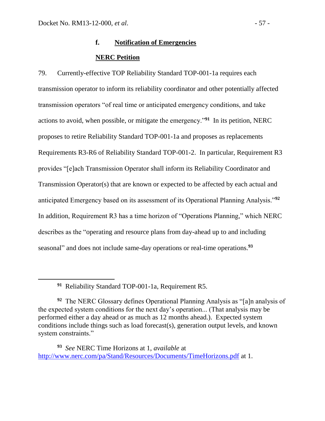# **f. Notification of Emergencies NERC Petition**

79. Currently-effective TOP Reliability Standard TOP-001-1a requires each transmission operator to inform its reliability coordinator and other potentially affected transmission operators "of real time or anticipated emergency conditions, and take actions to avoid, when possible, or mitigate the emergency."**<sup>91</sup>** In its petition, NERC proposes to retire Reliability Standard TOP-001-1a and proposes as replacements Requirements R3-R6 of Reliability Standard TOP-001-2. In particular, Requirement R3 provides "[e]ach Transmission Operator shall inform its Reliability Coordinator and Transmission Operator(s) that are known or expected to be affected by each actual and anticipated Emergency based on its assessment of its Operational Planning Analysis."**<sup>92</sup>** In addition, Requirement R3 has a time horizon of "Operations Planning," which NERC describes as the "operating and resource plans from day-ahead up to and including seasonal" and does not include same-day operations or real-time operations.**<sup>93</sup>**

**91** Reliability Standard TOP-001-1a, Requirement R5.

**<sup>92</sup>** The NERC Glossary defines Operational Planning Analysis as "[a]n analysis of the expected system conditions for the next day's operation... (That analysis may be performed either a day ahead or as much as 12 months ahead.). Expected system conditions include things such as load forecast(s), generation output levels, and known system constraints."

**<sup>93</sup>** *See* NERC Time Horizons at 1, *available* at <http://www.nerc.com/pa/Stand/Resources/Documents/TimeHorizons.pdf> at 1.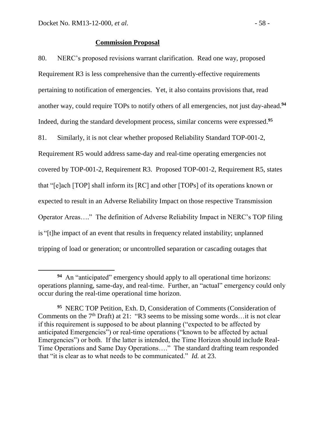#### **Commission Proposal**

80. NERC's proposed revisions warrant clarification. Read one way, proposed Requirement R3 is less comprehensive than the currently-effective requirements pertaining to notification of emergencies. Yet, it also contains provisions that, read another way, could require TOPs to notify others of all emergencies, not just day-ahead.**<sup>94</sup>** Indeed, during the standard development process, similar concerns were expressed. **95** 81. Similarly, it is not clear whether proposed Reliability Standard TOP-001-2, Requirement R5 would address same-day and real-time operating emergencies not covered by TOP-001-2, Requirement R3. Proposed TOP-001-2, Requirement R5, states that "[e]ach [TOP] shall inform its [RC] and other [TOPs] of its operations known or expected to result in an Adverse Reliability Impact on those respective Transmission Operator Areas…." The definition of Adverse Reliability Impact in NERC's TOP filing is "[t]he impact of an event that results in frequency related instability; unplanned tripping of load or generation; or uncontrolled separation or cascading outages that

**<sup>94</sup>** An "anticipated" emergency should apply to all operational time horizons: operations planning, same-day, and real-time. Further, an "actual" emergency could only occur during the real-time operational time horizon.

**<sup>95</sup>** NERC TOP Petition, Exh. D, Consideration of Comments (Consideration of Comments on the  $7<sup>th</sup>$  Draft) at 21: "R3 seems to be missing some words... it is not clear if this requirement is supposed to be about planning ("expected to be affected by anticipated Emergencies") or real-time operations ("known to be affected by actual Emergencies") or both. If the latter is intended, the Time Horizon should include Real-Time Operations and Same Day Operations…." The standard drafting team responded that "it is clear as to what needs to be communicated." *Id.* at 23.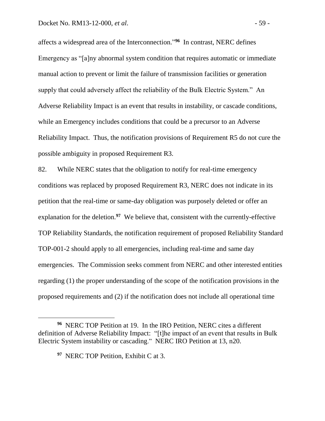affects a widespread area of the Interconnection." **96** In contrast, NERC defines Emergency as "[a]ny abnormal system condition that requires automatic or immediate manual action to prevent or limit the failure of transmission facilities or generation supply that could adversely affect the reliability of the Bulk Electric System." An Adverse Reliability Impact is an event that results in instability, or cascade conditions, while an Emergency includes conditions that could be a precursor to an Adverse Reliability Impact. Thus, the notification provisions of Requirement R5 do not cure the possible ambiguity in proposed Requirement R3.

82. While NERC states that the obligation to notify for real-time emergency conditions was replaced by proposed Requirement R3, NERC does not indicate in its petition that the real-time or same-day obligation was purposely deleted or offer an explanation for the deletion.<sup>97</sup> We believe that, consistent with the currently-effective TOP Reliability Standards, the notification requirement of proposed Reliability Standard TOP-001-2 should apply to all emergencies, including real-time and same day emergencies. The Commission seeks comment from NERC and other interested entities regarding (1) the proper understanding of the scope of the notification provisions in the proposed requirements and (2) if the notification does not include all operational time

**<sup>96</sup>** NERC TOP Petition at 19. In the IRO Petition, NERC cites a different definition of Adverse Reliability Impact: "[t]he impact of an event that results in Bulk Electric System instability or cascading." NERC IRO Petition at 13, n20.

**<sup>97</sup>** NERC TOP Petition, Exhibit C at 3.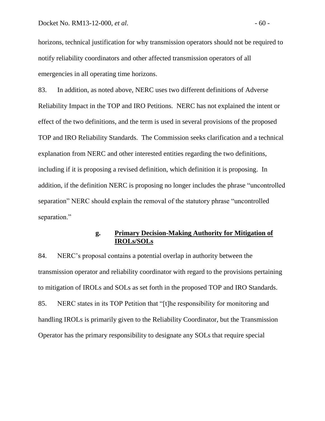horizons, technical justification for why transmission operators should not be required to notify reliability coordinators and other affected transmission operators of all emergencies in all operating time horizons.

83. In addition, as noted above, NERC uses two different definitions of Adverse Reliability Impact in the TOP and IRO Petitions. NERC has not explained the intent or effect of the two definitions, and the term is used in several provisions of the proposed TOP and IRO Reliability Standards. The Commission seeks clarification and a technical explanation from NERC and other interested entities regarding the two definitions, including if it is proposing a revised definition, which definition it is proposing. In addition, if the definition NERC is proposing no longer includes the phrase "uncontrolled separation" NERC should explain the removal of the statutory phrase "uncontrolled separation."

# **g. Primary Decision-Making Authority for Mitigation of IROLs/SOLs**

84. NERC's proposal contains a potential overlap in authority between the transmission operator and reliability coordinator with regard to the provisions pertaining to mitigation of IROLs and SOLs as set forth in the proposed TOP and IRO Standards. 85. NERC states in its TOP Petition that "[t]he responsibility for monitoring and handling IROLs is primarily given to the Reliability Coordinator, but the Transmission Operator has the primary responsibility to designate any SOLs that require special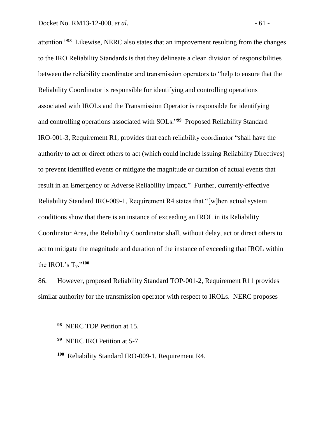attention."**<sup>98</sup>** Likewise, NERC also states that an improvement resulting from the changes to the IRO Reliability Standards is that they delineate a clean division of responsibilities between the reliability coordinator and transmission operators to "help to ensure that the Reliability Coordinator is responsible for identifying and controlling operations associated with IROLs and the Transmission Operator is responsible for identifying and controlling operations associated with SOLs."**<sup>99</sup>** Proposed Reliability Standard IRO-001-3, Requirement R1, provides that each reliability coordinator "shall have the authority to act or direct others to act (which could include issuing Reliability Directives) to prevent identified events or mitigate the magnitude or duration of actual events that result in an Emergency or Adverse Reliability Impact." Further, currently-effective Reliability Standard IRO-009-1, Requirement R4 states that "[w]hen actual system conditions show that there is an instance of exceeding an IROL in its Reliability Coordinator Area, the Reliability Coordinator shall, without delay, act or direct others to act to mitigate the magnitude and duration of the instance of exceeding that IROL within the IROL's  $T_v$ ."<sup>100</sup>

86. However, proposed Reliability Standard TOP-001-2, Requirement R11 provides similar authority for the transmission operator with respect to IROLs. NERC proposes

- **99** NERC IRO Petition at 5-7.
- **100** Reliability Standard IRO-009-1, Requirement R4.

**<sup>98</sup>** NERC TOP Petition at 15.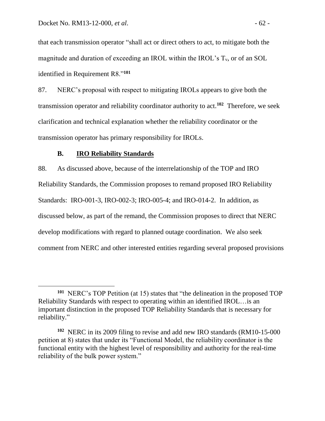that each transmission operator "shall act or direct others to act, to mitigate both the magnitude and duration of exceeding an IROL within the IROL's  $T_v$ , or of an SOL identified in Requirement R8."**<sup>101</sup>**

87. NERC's proposal with respect to mitigating IROLs appears to give both the transmission operator and reliability coordinator authority to act.**<sup>102</sup>** Therefore, we seek clarification and technical explanation whether the reliability coordinator or the transmission operator has primary responsibility for IROLs.

## **B. IRO Reliability Standards**

 $\overline{a}$ 

88. As discussed above, because of the interrelationship of the TOP and IRO Reliability Standards, the Commission proposes to remand proposed IRO Reliability Standards: IRO-001-3, IRO-002-3; IRO-005-4; and IRO-014-2. In addition, as discussed below, as part of the remand, the Commission proposes to direct that NERC develop modifications with regard to planned outage coordination. We also seek comment from NERC and other interested entities regarding several proposed provisions

**<sup>101</sup>** NERC's TOP Petition (at 15) states that "the delineation in the proposed TOP Reliability Standards with respect to operating within an identified IROL…is an important distinction in the proposed TOP Reliability Standards that is necessary for reliability."

**<sup>102</sup>** NERC in its 2009 filing to revise and add new IRO standards (RM10-15-000 petition at 8) states that under its "Functional Model, the reliability coordinator is the functional entity with the highest level of responsibility and authority for the real-time reliability of the bulk power system."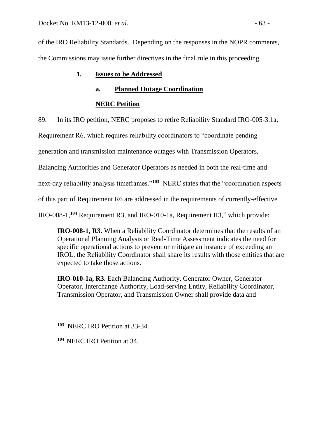of the IRO Reliability Standards. Depending on the responses in the NOPR comments, the Commissions may issue further directives in the final rule in this proceeding.

# **1. Issues to be Addressed**

# **a. Planned Outage Coordination**

# **NERC Petition**

89. In its IRO petition, NERC proposes to retire Reliability Standard IRO-005-3.1a,

Requirement R6, which requires reliability coordinators to "coordinate pending

generation and transmission maintenance outages with Transmission Operators,

Balancing Authorities and Generator Operators as needed in both the real-time and

next-day reliability analysis timeframes."**<sup>103</sup>** NERC states that the "coordination aspects

of this part of Requirement R6 are addressed in the requirements of currently-effective

IRO-008-1,**<sup>104</sup>** Requirement R3, and IRO-010-1a, Requirement R3," which provide:

**IRO-008-1, R3.** When a Reliability Coordinator determines that the results of an Operational Planning Analysis or Real-Time Assessment indicates the need for specific operational actions to prevent or mitigate an instance of exceeding an IROL, the Reliability Coordinator shall share its results with those entities that are expected to take those actions.

**IRO-010-1a, R3.** Each Balancing Authority, Generator Owner, Generator Operator, Interchange Authority, Load-serving Entity, Reliability Coordinator, Transmission Operator, and Transmission Owner shall provide data and

**<sup>104</sup>** NERC IRO Petition at 34.

**<sup>103</sup>** NERC IRO Petition at 33-34.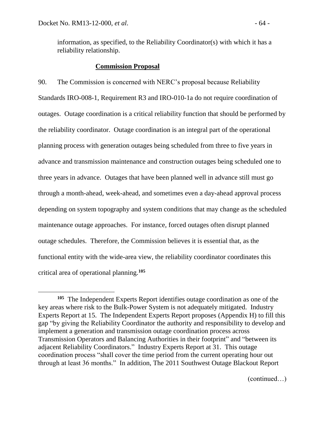information, as specified, to the Reliability Coordinator(s) with which it has a reliability relationship.

#### **Commission Proposal**

90. The Commission is concerned with NERC's proposal because Reliability Standards IRO-008-1, Requirement R3 and IRO-010-1a do not require coordination of outages. Outage coordination is a critical reliability function that should be performed by the reliability coordinator. Outage coordination is an integral part of the operational planning process with generation outages being scheduled from three to five years in advance and transmission maintenance and construction outages being scheduled one to three years in advance. Outages that have been planned well in advance still must go through a month-ahead, week-ahead, and sometimes even a day-ahead approval process depending on system topography and system conditions that may change as the scheduled maintenance outage approaches. For instance, forced outages often disrupt planned outage schedules. Therefore, the Commission believes it is essential that, as the functional entity with the wide-area view, the reliability coordinator coordinates this critical area of operational planning.**<sup>105</sup>**

(continued…)

**<sup>105</sup>** The Independent Experts Report identifies outage coordination as one of the key areas where risk to the Bulk-Power System is not adequately mitigated. Industry Experts Report at 15. The Independent Experts Report proposes (Appendix H) to fill this gap "by giving the Reliability Coordinator the authority and responsibility to develop and implement a generation and transmission outage coordination process across Transmission Operators and Balancing Authorities in their footprint" and "between its adjacent Reliability Coordinators." Industry Experts Report at 31. This outage coordination process "shall cover the time period from the current operating hour out through at least 36 months." In addition, The 2011 Southwest Outage Blackout Report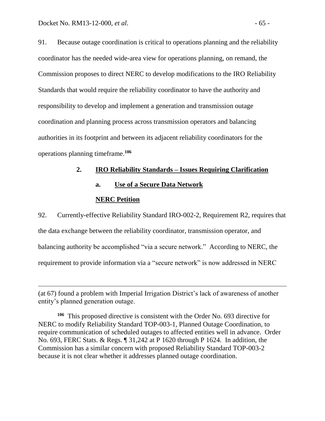91. Because outage coordination is critical to operations planning and the reliability coordinator has the needed wide-area view for operations planning, on remand, the Commission proposes to direct NERC to develop modifications to the IRO Reliability Standards that would require the reliability coordinator to have the authority and responsibility to develop and implement a generation and transmission outage coordination and planning process across transmission operators and balancing authorities in its footprint and between its adjacent reliability coordinators for the operations planning timeframe.**<sup>106</sup>**

# **2. IRO Reliability Standards – Issues Requiring Clarification**

**a. Use of a Secure Data Network**

#### **NERC Petition**

 $\overline{a}$ 

92. Currently-effective Reliability Standard IRO-002-2, Requirement R2, requires that the data exchange between the reliability coordinator, transmission operator, and balancing authority be accomplished "via a secure network." According to NERC, the requirement to provide information via a "secure network" is now addressed in NERC

<sup>(</sup>at 67) found a problem with Imperial Irrigation District's lack of awareness of another entity's planned generation outage.

**<sup>106</sup>** This proposed directive is consistent with the Order No. 693 directive for NERC to modify Reliability Standard TOP-003-1, Planned Outage Coordination, to require communication of scheduled outages to affected entities well in advance. Order No. 693, FERC Stats. & Regs. ¶ 31,242 at P 1620 through P 1624. In addition, the Commission has a similar concern with proposed Reliability Standard TOP-003-2 because it is not clear whether it addresses planned outage coordination.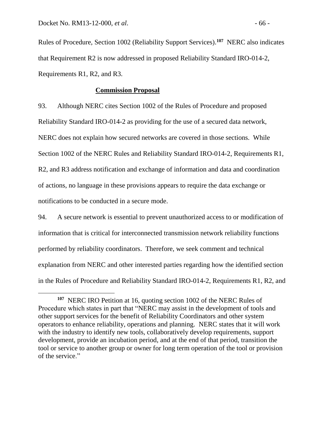Rules of Procedure, Section 1002 (Reliability Support Services). **107** NERC also indicates that Requirement R2 is now addressed in proposed Reliability Standard IRO-014-2, Requirements R1, R2, and R3.

#### **Commission Proposal**

93. Although NERC cites Section 1002 of the Rules of Procedure and proposed Reliability Standard IRO-014-2 as providing for the use of a secured data network, NERC does not explain how secured networks are covered in those sections. While Section 1002 of the NERC Rules and Reliability Standard IRO-014-2, Requirements R1, R2, and R3 address notification and exchange of information and data and coordination of actions, no language in these provisions appears to require the data exchange or notifications to be conducted in a secure mode.

94. A secure network is essential to prevent unauthorized access to or modification of information that is critical for interconnected transmission network reliability functions performed by reliability coordinators. Therefore, we seek comment and technical explanation from NERC and other interested parties regarding how the identified section in the Rules of Procedure and Reliability Standard IRO-014-2, Requirements R1, R2, and

**<sup>107</sup>** NERC IRO Petition at 16, quoting section 1002 of the NERC Rules of Procedure which states in part that "NERC may assist in the development of tools and other support services for the benefit of Reliability Coordinators and other system operators to enhance reliability, operations and planning. NERC states that it will work with the industry to identify new tools, collaboratively develop requirements, support development, provide an incubation period, and at the end of that period, transition the tool or service to another group or owner for long term operation of the tool or provision of the service."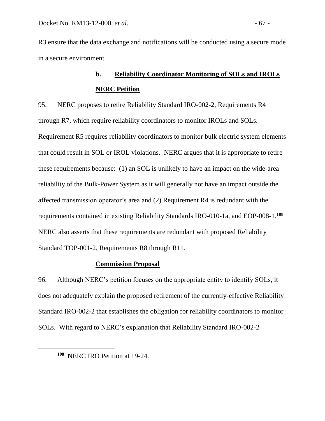R3 ensure that the data exchange and notifications will be conducted using a secure mode in a secure environment.

# **b. Reliability Coordinator Monitoring of SOLs and IROLs NERC Petition**

95. NERC proposes to retire Reliability Standard IRO-002-2, Requirements R4 through R7, which require reliability coordinators to monitor IROLs and SOLs. Requirement R5 requires reliability coordinators to monitor bulk electric system elements that could result in SOL or IROL violations. NERC argues that it is appropriate to retire these requirements because: (1) an SOL is unlikely to have an impact on the wide-area reliability of the Bulk-Power System as it will generally not have an impact outside the affected transmission operator's area and (2) Requirement R4 is redundant with the requirements contained in existing Reliability Standards IRO-010-1a, and EOP-008-1.**<sup>108</sup>** NERC also asserts that these requirements are redundant with proposed Reliability Standard TOP-001-2, Requirements R8 through R11.

## **Commission Proposal**

96. Although NERC's petition focuses on the appropriate entity to identify SOLs, it does not adequately explain the proposed retirement of the currently-effective Reliability Standard IRO-002-2 that establishes the obligation for reliability coordinators to monitor SOLs. With regard to NERC's explanation that Reliability Standard IRO-002-2

**<sup>108</sup>** NERC IRO Petition at 19-24.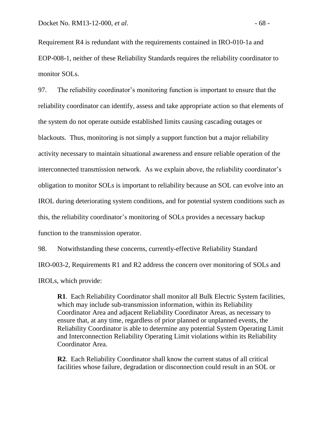Requirement R4 is redundant with the requirements contained in IRO-010-1a and EOP-008-1, neither of these Reliability Standards requires the reliability coordinator to monitor SOLs.

97. The reliability coordinator's monitoring function is important to ensure that the reliability coordinator can identify, assess and take appropriate action so that elements of the system do not operate outside established limits causing cascading outages or blackouts. Thus, monitoring is not simply a support function but a major reliability activity necessary to maintain situational awareness and ensure reliable operation of the interconnected transmission network. As we explain above, the reliability coordinator's obligation to monitor SOLs is important to reliability because an SOL can evolve into an IROL during deteriorating system conditions, and for potential system conditions such as this, the reliability coordinator's monitoring of SOLs provides a necessary backup function to the transmission operator.

98. Notwithstanding these concerns, currently-effective Reliability Standard IRO-003-2, Requirements R1 and R2 address the concern over monitoring of SOLs and IROLs, which provide:

**R1**. Each Reliability Coordinator shall monitor all Bulk Electric System facilities, which may include sub-transmission information, within its Reliability Coordinator Area and adjacent Reliability Coordinator Areas, as necessary to ensure that, at any time, regardless of prior planned or unplanned events, the Reliability Coordinator is able to determine any potential System Operating Limit and Interconnection Reliability Operating Limit violations within its Reliability Coordinator Area.

**R2**. Each Reliability Coordinator shall know the current status of all critical facilities whose failure, degradation or disconnection could result in an SOL or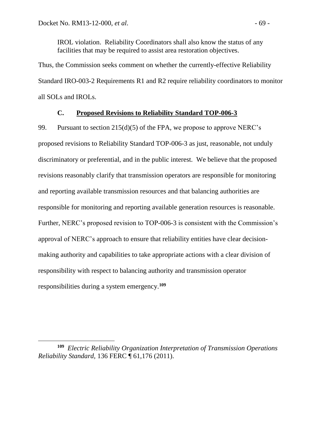IROL violation. Reliability Coordinators shall also know the status of any facilities that may be required to assist area restoration objectives.

Thus, the Commission seeks comment on whether the currently-effective Reliability Standard IRO-003-2 Requirements R1 and R2 require reliability coordinators to monitor all SOLs and IROLs.

# **C. Proposed Revisions to Reliability Standard TOP-006-3**

99. Pursuant to section  $215(d)(5)$  of the FPA, we propose to approve NERC's proposed revisions to Reliability Standard TOP-006-3 as just, reasonable, not unduly discriminatory or preferential, and in the public interest. We believe that the proposed revisions reasonably clarify that transmission operators are responsible for monitoring and reporting available transmission resources and that balancing authorities are responsible for monitoring and reporting available generation resources is reasonable. Further, NERC's proposed revision to TOP-006-3 is consistent with the Commission's approval of NERC's approach to ensure that reliability entities have clear decisionmaking authority and capabilities to take appropriate actions with a clear division of responsibility with respect to balancing authority and transmission operator responsibilities during a system emergency. **109**

**<sup>109</sup>** *Electric Reliability Organization Interpretation of Transmission Operations Reliability Standard,* 136 FERC ¶ 61,176 (2011).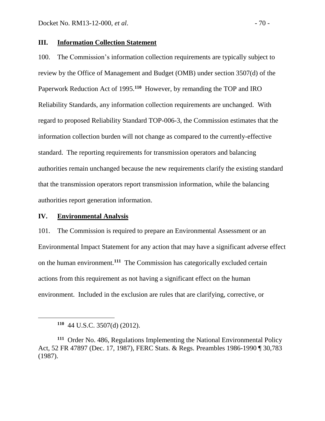# **III. Information Collection Statement**

100. The Commission's information collection requirements are typically subject to review by the Office of Management and Budget (OMB) under section 3507(d) of the Paperwork Reduction Act of 1995.<sup>110</sup> However, by remanding the TOP and IRO Reliability Standards, any information collection requirements are unchanged. With regard to proposed Reliability Standard TOP-006-3, the Commission estimates that the information collection burden will not change as compared to the currently-effective standard. The reporting requirements for transmission operators and balancing authorities remain unchanged because the new requirements clarify the existing standard that the transmission operators report transmission information, while the balancing authorities report generation information.

### **IV. Environmental Analysis**

101. The Commission is required to prepare an Environmental Assessment or an Environmental Impact Statement for any action that may have a significant adverse effect on the human environment.**<sup>111</sup>** The Commission has categorically excluded certain actions from this requirement as not having a significant effect on the human environment. Included in the exclusion are rules that are clarifying, corrective, or

**<sup>110</sup>** 44 U.S.C. 3507(d) (2012).

**<sup>111</sup>** Order No. 486, Regulations Implementing the National Environmental Policy Act, 52 FR 47897 (Dec. 17, 1987), FERC Stats. & Regs. Preambles 1986-1990 ¶ 30,783 (1987).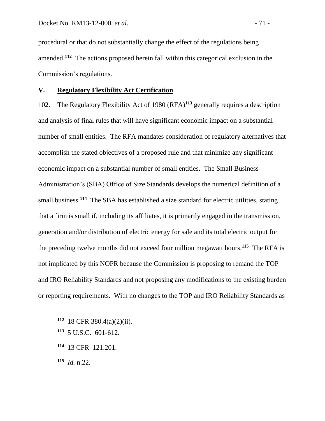procedural or that do not substantially change the effect of the regulations being amended.**<sup>112</sup>** The actions proposed herein fall within this categorical exclusion in the Commission's regulations.

## **V. Regulatory Flexibility Act Certification**

102. The Regulatory Flexibility Act of 1980 (RFA)**<sup>113</sup>** generally requires a description and analysis of final rules that will have significant economic impact on a substantial number of small entities. The RFA mandates consideration of regulatory alternatives that accomplish the stated objectives of a proposed rule and that minimize any significant economic impact on a substantial number of small entities. The Small Business Administration's (SBA) Office of Size Standards develops the numerical definition of a small business.<sup>114</sup> The SBA has established a size standard for electric utilities, stating that a firm is small if, including its affiliates, it is primarily engaged in the transmission, generation and/or distribution of electric energy for sale and its total electric output for the preceding twelve months did not exceed four million megawatt hours.**<sup>115</sup>** The RFA is not implicated by this NOPR because the Commission is proposing to remand the TOP and IRO Reliability Standards and not proposing any modifications to the existing burden or reporting requirements. With no changes to the TOP and IRO Reliability Standards as

- **<sup>112</sup>** 18 CFR 380.4(a)(2)(ii).
- **<sup>113</sup>** 5 U.S.C. 601-612.
- **<sup>114</sup>** 13 CFR 121.201.

**<sup>115</sup>** *Id.* n.22.

 $\overline{a}$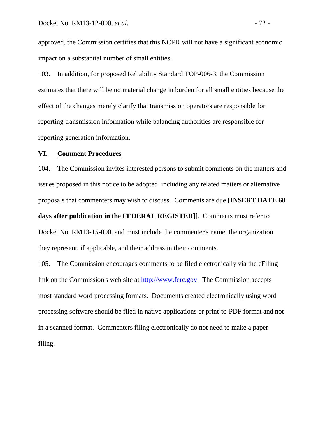approved, the Commission certifies that this NOPR will not have a significant economic impact on a substantial number of small entities.

103. In addition, for proposed Reliability Standard TOP-006-3, the Commission estimates that there will be no material change in burden for all small entities because the effect of the changes merely clarify that transmission operators are responsible for reporting transmission information while balancing authorities are responsible for reporting generation information.

## **VI. Comment Procedures**

104. The Commission invites interested persons to submit comments on the matters and issues proposed in this notice to be adopted, including any related matters or alternative proposals that commenters may wish to discuss. Comments are due [**INSERT DATE 60 days after publication in the FEDERAL REGISTER]**]. Comments must refer to Docket No. RM13-15-000, and must include the commenter's name, the organization they represent, if applicable, and their address in their comments.

105. The Commission encourages comments to be filed electronically via the eFiling link on the Commission's web site at [http://www.ferc.gov.](http://www.ferc.gov/) The Commission accepts most standard word processing formats. Documents created electronically using word processing software should be filed in native applications or print-to-PDF format and not in a scanned format. Commenters filing electronically do not need to make a paper filing.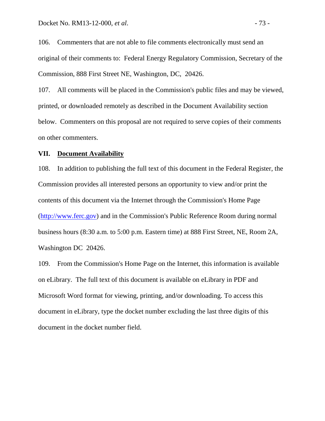106. Commenters that are not able to file comments electronically must send an original of their comments to: Federal Energy Regulatory Commission, Secretary of the Commission, 888 First Street NE, Washington, DC, 20426.

107. All comments will be placed in the Commission's public files and may be viewed, printed, or downloaded remotely as described in the Document Availability section below. Commenters on this proposal are not required to serve copies of their comments on other commenters.

## **VII. Document Availability**

108. In addition to publishing the full text of this document in the Federal Register, the Commission provides all interested persons an opportunity to view and/or print the contents of this document via the Internet through the Commission's Home Page [\(http://www.ferc.gov\)](http://www.ferc.gov/) and in the Commission's Public Reference Room during normal business hours (8:30 a.m. to 5:00 p.m. Eastern time) at 888 First Street, NE, Room 2A, Washington DC 20426.

109. From the Commission's Home Page on the Internet, this information is available on eLibrary. The full text of this document is available on eLibrary in PDF and Microsoft Word format for viewing, printing, and/or downloading. To access this document in eLibrary, type the docket number excluding the last three digits of this document in the docket number field.